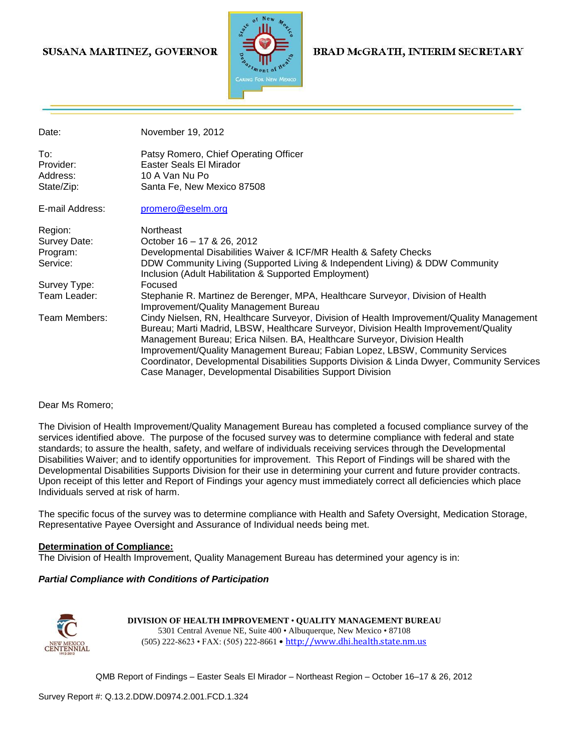## SUSANA MARTINEZ, GOVERNOR



### **BRAD McGRATH, INTERIM SECRETARY**

| Date:           | November 19, 2012                                                                           |
|-----------------|---------------------------------------------------------------------------------------------|
| To:             | Patsy Romero, Chief Operating Officer                                                       |
| Provider:       | Easter Seals El Mirador                                                                     |
| Address:        | 10 A Van Nu Po                                                                              |
| State/Zip:      | Santa Fe, New Mexico 87508                                                                  |
| E-mail Address: | promero@eselm.org                                                                           |
| Region:         | <b>Northeast</b>                                                                            |
| Survey Date:    | October 16 - 17 & 26, 2012                                                                  |
| Program:        | Developmental Disabilities Waiver & ICF/MR Health & Safety Checks                           |
| Service:        | DDW Community Living (Supported Living & Independent Living) & DDW Community                |
|                 | Inclusion (Adult Habilitation & Supported Employment)                                       |
| Survey Type:    | Focused                                                                                     |
| Team Leader:    | Stephanie R. Martinez de Berenger, MPA, Healthcare Surveyor, Division of Health             |
|                 | Improvement/Quality Management Bureau                                                       |
| Team Members:   | Cindy Nielsen, RN, Healthcare Surveyor, Division of Health Improvement/Quality Management   |
|                 | Bureau; Marti Madrid, LBSW, Healthcare Surveyor, Division Health Improvement/Quality        |
|                 | Management Bureau; Erica Nilsen. BA, Healthcare Surveyor, Division Health                   |
|                 |                                                                                             |
|                 | Improvement/Quality Management Bureau; Fabian Lopez, LBSW, Community Services               |
|                 | Coordinator, Developmental Disabilities Supports Division & Linda Dwyer, Community Services |
|                 | Case Manager, Developmental Disabilities Support Division                                   |

#### Dear Ms Romero;

The Division of Health Improvement/Quality Management Bureau has completed a focused compliance survey of the services identified above. The purpose of the focused survey was to determine compliance with federal and state standards; to assure the health, safety, and welfare of individuals receiving services through the Developmental Disabilities Waiver; and to identify opportunities for improvement. This Report of Findings will be shared with the Developmental Disabilities Supports Division for their use in determining your current and future provider contracts. Upon receipt of this letter and Report of Findings your agency must immediately correct all deficiencies which place Individuals served at risk of harm.

The specific focus of the survey was to determine compliance with Health and Safety Oversight, Medication Storage, Representative Payee Oversight and Assurance of Individual needs being met.

#### **Determination of Compliance:**

The Division of Health Improvement, Quality Management Bureau has determined your agency is in:

#### *Partial Compliance with Conditions of Participation*



**DIVISION OF HEALTH IMPROVEMENT** • **QUALITY MANAGEMENT BUREAU** 5301 Central Avenue NE, Suite 400 • Albuquerque, New Mexico • 87108 (505) 222-8623 • FAX: (505) 222-8661 • http://www.dhi.health.state.nm.us

QMB Report of Findings – Easter Seals El Mirador – Northeast Region – October 16–17 & 26, 2012

Survey Report #: Q.13.2.DDW.D0974.2.001.FCD.1.324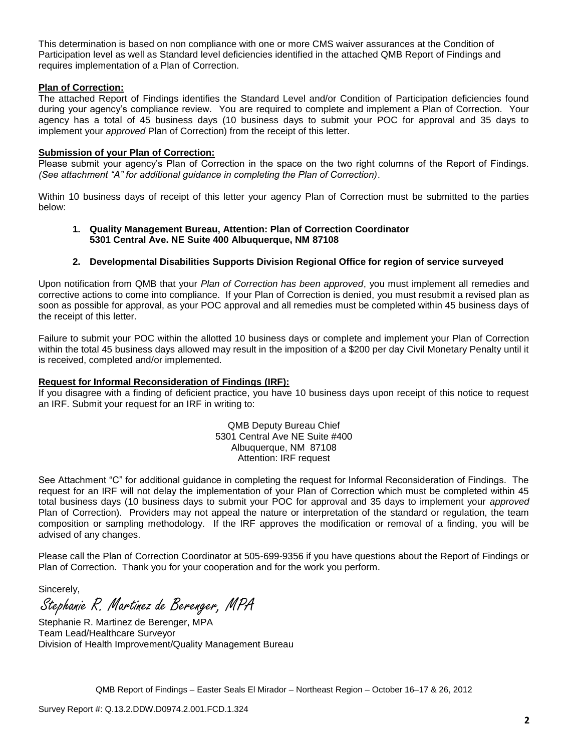This determination is based on non compliance with one or more CMS waiver assurances at the Condition of Participation level as well as Standard level deficiencies identified in the attached QMB Report of Findings and requires implementation of a Plan of Correction.

### **Plan of Correction:**

The attached Report of Findings identifies the Standard Level and/or Condition of Participation deficiencies found during your agency's compliance review. You are required to complete and implement a Plan of Correction. Your agency has a total of 45 business days (10 business days to submit your POC for approval and 35 days to implement your *approved* Plan of Correction) from the receipt of this letter.

### **Submission of your Plan of Correction:**

Please submit your agency's Plan of Correction in the space on the two right columns of the Report of Findings. *(See attachment "A" for additional guidance in completing the Plan of Correction)*.

Within 10 business days of receipt of this letter your agency Plan of Correction must be submitted to the parties below:

#### **1. Quality Management Bureau, Attention: Plan of Correction Coordinator 5301 Central Ave. NE Suite 400 Albuquerque, NM 87108**

#### **2. Developmental Disabilities Supports Division Regional Office for region of service surveyed**

Upon notification from QMB that your *Plan of Correction has been approved*, you must implement all remedies and corrective actions to come into compliance. If your Plan of Correction is denied, you must resubmit a revised plan as soon as possible for approval, as your POC approval and all remedies must be completed within 45 business days of the receipt of this letter.

Failure to submit your POC within the allotted 10 business days or complete and implement your Plan of Correction within the total 45 business days allowed may result in the imposition of a \$200 per day Civil Monetary Penalty until it is received, completed and/or implemented.

#### **Request for Informal Reconsideration of Findings (IRF):**

If you disagree with a finding of deficient practice, you have 10 business days upon receipt of this notice to request an IRF. Submit your request for an IRF in writing to:

> QMB Deputy Bureau Chief 5301 Central Ave NE Suite #400 Albuquerque, NM 87108 Attention: IRF request

See Attachment "C" for additional guidance in completing the request for Informal Reconsideration of Findings. The request for an IRF will not delay the implementation of your Plan of Correction which must be completed within 45 total business days (10 business days to submit your POC for approval and 35 days to implement your *approved* Plan of Correction). Providers may not appeal the nature or interpretation of the standard or regulation, the team composition or sampling methodology. If the IRF approves the modification or removal of a finding, you will be advised of any changes.

Please call the Plan of Correction Coordinator at 505-699-9356 if you have questions about the Report of Findings or Plan of Correction. Thank you for your cooperation and for the work you perform.

Sincerely,

Stephanie R. Martinez de Berenger, MPA

Stephanie R. Martinez de Berenger, MPA Team Lead/Healthcare Surveyor Division of Health Improvement/Quality Management Bureau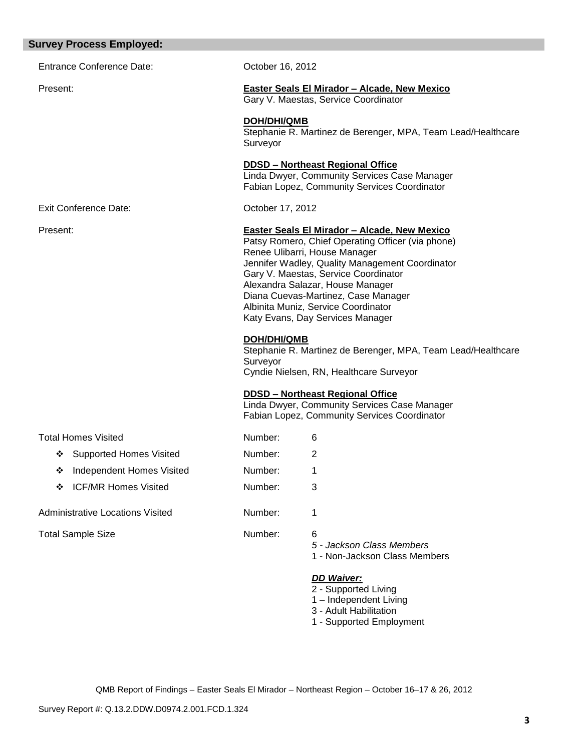| <b>Survey Process Employed:</b>         |                                |                                                                                                                                                                                                                                                                                                                                                                                     |
|-----------------------------------------|--------------------------------|-------------------------------------------------------------------------------------------------------------------------------------------------------------------------------------------------------------------------------------------------------------------------------------------------------------------------------------------------------------------------------------|
| <b>Entrance Conference Date:</b>        | October 16, 2012               |                                                                                                                                                                                                                                                                                                                                                                                     |
| Present:                                |                                | <b>Easter Seals El Mirador - Alcade, New Mexico</b><br>Gary V. Maestas, Service Coordinator                                                                                                                                                                                                                                                                                         |
|                                         | <b>DOH/DHI/QMB</b><br>Surveyor | Stephanie R. Martinez de Berenger, MPA, Team Lead/Healthcare                                                                                                                                                                                                                                                                                                                        |
|                                         |                                | <b>DDSD - Northeast Regional Office</b><br>Linda Dwyer, Community Services Case Manager<br>Fabian Lopez, Community Services Coordinator                                                                                                                                                                                                                                             |
| <b>Exit Conference Date:</b>            | October 17, 2012               |                                                                                                                                                                                                                                                                                                                                                                                     |
| Present:                                |                                | Easter Seals El Mirador - Alcade, New Mexico<br>Patsy Romero, Chief Operating Officer (via phone)<br>Renee Ulibarri, House Manager<br>Jennifer Wadley, Quality Management Coordinator<br>Gary V. Maestas, Service Coordinator<br>Alexandra Salazar, House Manager<br>Diana Cuevas-Martinez, Case Manager<br>Albinita Muniz, Service Coordinator<br>Katy Evans, Day Services Manager |
|                                         | <b>DOH/DHI/QMB</b><br>Surveyor | Stephanie R. Martinez de Berenger, MPA, Team Lead/Healthcare<br>Cyndie Nielsen, RN, Healthcare Surveyor                                                                                                                                                                                                                                                                             |
|                                         |                                | <b>DDSD - Northeast Regional Office</b><br>Linda Dwyer, Community Services Case Manager<br>Fabian Lopez, Community Services Coordinator                                                                                                                                                                                                                                             |
| <b>Total Homes Visited</b>              | Number:                        | 6                                                                                                                                                                                                                                                                                                                                                                                   |
| ❖ Supported Homes Visited               | Number:                        | 2                                                                                                                                                                                                                                                                                                                                                                                   |
| Independent Homes Visited<br>❖          | Number:                        | 1                                                                                                                                                                                                                                                                                                                                                                                   |
| <b>ICF/MR Homes Visited</b><br>❖        | Number:                        | 3                                                                                                                                                                                                                                                                                                                                                                                   |
| <b>Administrative Locations Visited</b> | Number:                        | 1                                                                                                                                                                                                                                                                                                                                                                                   |
| <b>Total Sample Size</b>                | Number:                        | 6<br>5 - Jackson Class Members<br>1 - Non-Jackson Class Members                                                                                                                                                                                                                                                                                                                     |
|                                         |                                | <b>DD Waiver:</b><br>2 - Supported Living<br>1 - Independent Living<br>3 - Adult Habilitation                                                                                                                                                                                                                                                                                       |

1 - Supported Employment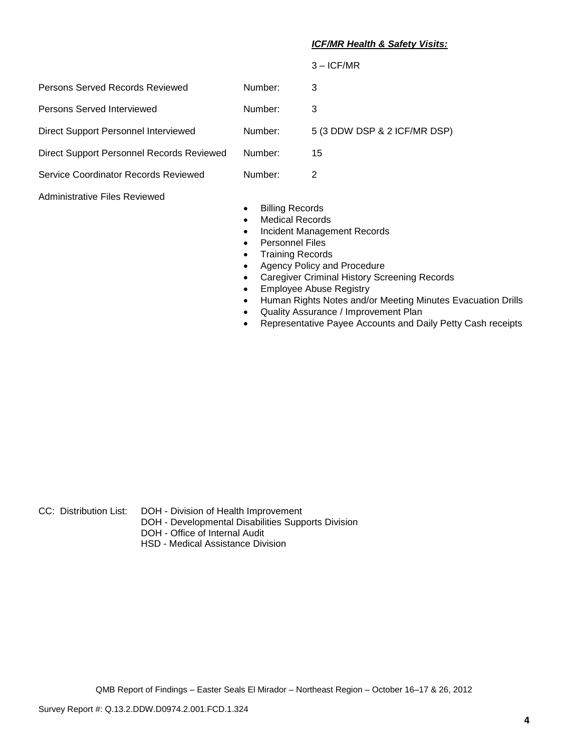### *ICF/MR Health & Safety Visits:*

|                                           |         | $3 - ICF/MR$                 |
|-------------------------------------------|---------|------------------------------|
| Persons Served Records Reviewed           | Number: | 3                            |
| Persons Served Interviewed                | Number: | 3                            |
| Direct Support Personnel Interviewed      | Number: | 5 (3 DDW DSP & 2 ICF/MR DSP) |
| Direct Support Personnel Records Reviewed | Number: | 15                           |
| Service Coordinator Records Reviewed      | Number: | 2                            |

Administrative Files Reviewed

- **•** Billing Records
- Medical Records
- Incident Management Records
- Personnel Files
- Training Records
- Agency Policy and Procedure
- Caregiver Criminal History Screening Records
- **Employee Abuse Registry**
- Human Rights Notes and/or Meeting Minutes Evacuation Drills
- Quality Assurance / Improvement Plan
- Representative Payee Accounts and Daily Petty Cash receipts

- CC: Distribution List: DOH Division of Health Improvement
	- DOH Developmental Disabilities Supports Division
	- DOH Office of Internal Audit
	- HSD Medical Assistance Division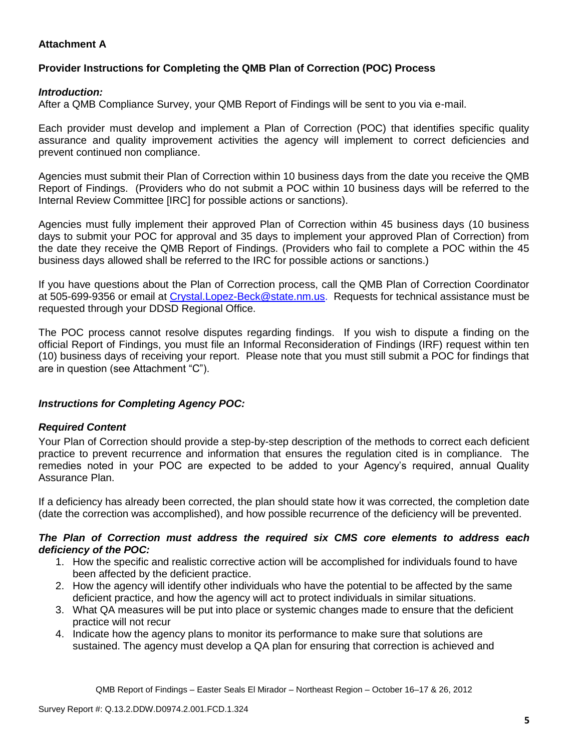# **Attachment A**

# **Provider Instructions for Completing the QMB Plan of Correction (POC) Process**

## *Introduction:*

After a QMB Compliance Survey, your QMB Report of Findings will be sent to you via e-mail.

Each provider must develop and implement a Plan of Correction (POC) that identifies specific quality assurance and quality improvement activities the agency will implement to correct deficiencies and prevent continued non compliance.

Agencies must submit their Plan of Correction within 10 business days from the date you receive the QMB Report of Findings. (Providers who do not submit a POC within 10 business days will be referred to the Internal Review Committee [IRC] for possible actions or sanctions).

Agencies must fully implement their approved Plan of Correction within 45 business days (10 business days to submit your POC for approval and 35 days to implement your approved Plan of Correction) from the date they receive the QMB Report of Findings. (Providers who fail to complete a POC within the 45 business days allowed shall be referred to the IRC for possible actions or sanctions.)

If you have questions about the Plan of Correction process, call the QMB Plan of Correction Coordinator at 505-699-9356 or email at Crystal.Lopez-Beck@state.nm.us. Requests for technical assistance must be requested through your DDSD Regional Office.

The POC process cannot resolve disputes regarding findings. If you wish to dispute a finding on the official Report of Findings, you must file an Informal Reconsideration of Findings (IRF) request within ten (10) business days of receiving your report. Please note that you must still submit a POC for findings that are in question (see Attachment "C").

# *Instructions for Completing Agency POC:*

# *Required Content*

Your Plan of Correction should provide a step-by-step description of the methods to correct each deficient practice to prevent recurrence and information that ensures the regulation cited is in compliance. The remedies noted in your POC are expected to be added to your Agency's required, annual Quality Assurance Plan.

If a deficiency has already been corrected, the plan should state how it was corrected, the completion date (date the correction was accomplished), and how possible recurrence of the deficiency will be prevented.

### *The Plan of Correction must address the required six CMS core elements to address each deficiency of the POC:*

- 1. How the specific and realistic corrective action will be accomplished for individuals found to have been affected by the deficient practice.
- 2. How the agency will identify other individuals who have the potential to be affected by the same deficient practice, and how the agency will act to protect individuals in similar situations.
- 3. What QA measures will be put into place or systemic changes made to ensure that the deficient practice will not recur
- 4. Indicate how the agency plans to monitor its performance to make sure that solutions are sustained. The agency must develop a QA plan for ensuring that correction is achieved and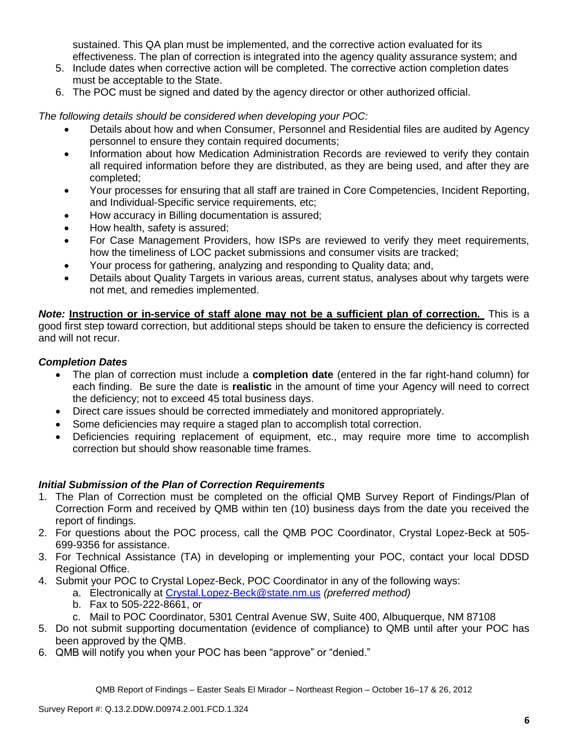sustained. This QA plan must be implemented, and the corrective action evaluated for its effectiveness. The plan of correction is integrated into the agency quality assurance system; and

- 5. Include dates when corrective action will be completed. The corrective action completion dates must be acceptable to the State.
- 6. The POC must be signed and dated by the agency director or other authorized official.

*The following details should be considered when developing your POC:*

- Details about how and when Consumer, Personnel and Residential files are audited by Agency personnel to ensure they contain required documents;
- Information about how Medication Administration Records are reviewed to verify they contain all required information before they are distributed, as they are being used, and after they are completed;
- Your processes for ensuring that all staff are trained in Core Competencies, Incident Reporting, and Individual-Specific service requirements, etc;
- How accuracy in Billing documentation is assured;
- How health, safety is assured;
- For Case Management Providers, how ISPs are reviewed to verify they meet requirements, how the timeliness of LOC packet submissions and consumer visits are tracked;
- Your process for gathering, analyzing and responding to Quality data; and,
- Details about Quality Targets in various areas, current status, analyses about why targets were not met, and remedies implemented.

*Note:* **Instruction or in-service of staff alone may not be a sufficient plan of correction.** This is a good first step toward correction, but additional steps should be taken to ensure the deficiency is corrected and will not recur.

# *Completion Dates*

- The plan of correction must include a **completion date** (entered in the far right-hand column) for each finding. Be sure the date is **realistic** in the amount of time your Agency will need to correct the deficiency; not to exceed 45 total business days.
- Direct care issues should be corrected immediately and monitored appropriately.
- Some deficiencies may require a staged plan to accomplish total correction.
- Deficiencies requiring replacement of equipment, etc., may require more time to accomplish correction but should show reasonable time frames.

# *Initial Submission of the Plan of Correction Requirements*

- 1. The Plan of Correction must be completed on the official QMB Survey Report of Findings/Plan of Correction Form and received by QMB within ten (10) business days from the date you received the report of findings.
- 2. For questions about the POC process, call the QMB POC Coordinator, Crystal Lopez-Beck at 505- 699-9356 for assistance.
- 3. For Technical Assistance (TA) in developing or implementing your POC, contact your local DDSD Regional Office.
- 4. Submit your POC to Crystal Lopez-Beck, POC Coordinator in any of the following ways:
	- a. Electronically at Crystal.Lopez-Beck@state.nm.us *(preferred method)*
	- b. Fax to 505-222-8661, or
	- c. Mail to POC Coordinator, 5301 Central Avenue SW, Suite 400, Albuquerque, NM 87108
- 5. Do not submit supporting documentation (evidence of compliance) to QMB until after your POC has been approved by the QMB.
- 6. QMB will notify you when your POC has been "approve" or "denied."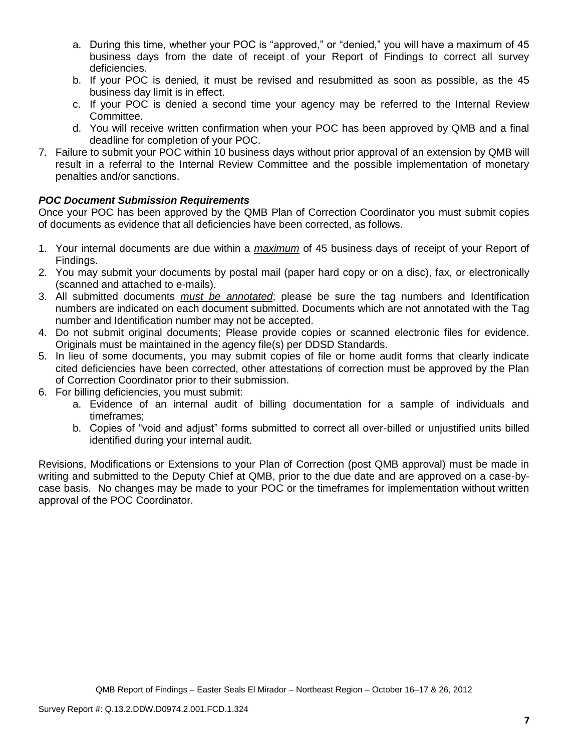- a. During this time, whether your POC is "approved," or "denied," you will have a maximum of 45 business days from the date of receipt of your Report of Findings to correct all survey deficiencies.
- b. If your POC is denied, it must be revised and resubmitted as soon as possible, as the 45 business day limit is in effect.
- c. If your POC is denied a second time your agency may be referred to the Internal Review Committee.
- d. You will receive written confirmation when your POC has been approved by QMB and a final deadline for completion of your POC.
- 7. Failure to submit your POC within 10 business days without prior approval of an extension by QMB will result in a referral to the Internal Review Committee and the possible implementation of monetary penalties and/or sanctions.

# *POC Document Submission Requirements*

Once your POC has been approved by the QMB Plan of Correction Coordinator you must submit copies of documents as evidence that all deficiencies have been corrected, as follows.

- 1. Your internal documents are due within a *maximum* of 45 business days of receipt of your Report of Findings.
- 2. You may submit your documents by postal mail (paper hard copy or on a disc), fax, or electronically (scanned and attached to e-mails).
- 3. All submitted documents *must be annotated*; please be sure the tag numbers and Identification numbers are indicated on each document submitted. Documents which are not annotated with the Tag number and Identification number may not be accepted.
- 4. Do not submit original documents; Please provide copies or scanned electronic files for evidence. Originals must be maintained in the agency file(s) per DDSD Standards.
- 5. In lieu of some documents, you may submit copies of file or home audit forms that clearly indicate cited deficiencies have been corrected, other attestations of correction must be approved by the Plan of Correction Coordinator prior to their submission.
- 6. For billing deficiencies, you must submit:
	- a. Evidence of an internal audit of billing documentation for a sample of individuals and timeframes;
	- b. Copies of "void and adjust" forms submitted to correct all over-billed or unjustified units billed identified during your internal audit.

Revisions, Modifications or Extensions to your Plan of Correction (post QMB approval) must be made in writing and submitted to the Deputy Chief at QMB, prior to the due date and are approved on a case-bycase basis. No changes may be made to your POC or the timeframes for implementation without written approval of the POC Coordinator.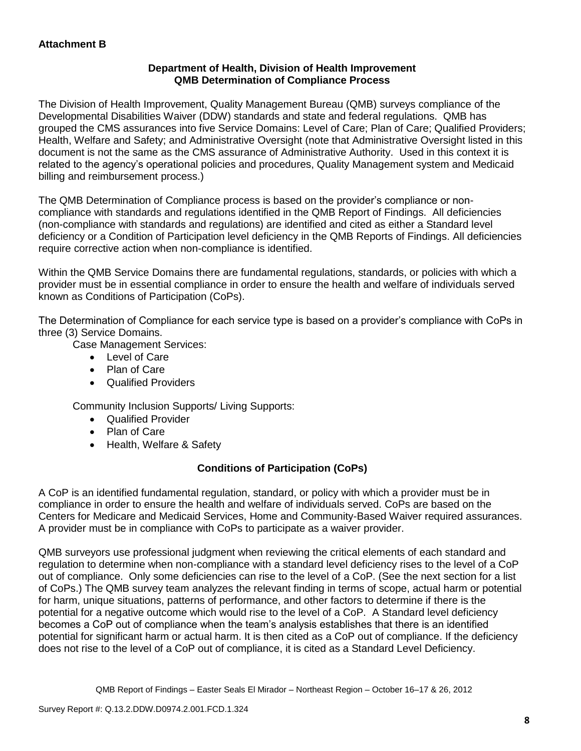# **Department of Health, Division of Health Improvement QMB Determination of Compliance Process**

The Division of Health Improvement, Quality Management Bureau (QMB) surveys compliance of the Developmental Disabilities Waiver (DDW) standards and state and federal regulations. QMB has grouped the CMS assurances into five Service Domains: Level of Care; Plan of Care; Qualified Providers; Health, Welfare and Safety; and Administrative Oversight (note that Administrative Oversight listed in this document is not the same as the CMS assurance of Administrative Authority. Used in this context it is related to the agency's operational policies and procedures, Quality Management system and Medicaid billing and reimbursement process.)

The QMB Determination of Compliance process is based on the provider's compliance or noncompliance with standards and regulations identified in the QMB Report of Findings. All deficiencies (non-compliance with standards and regulations) are identified and cited as either a Standard level deficiency or a Condition of Participation level deficiency in the QMB Reports of Findings. All deficiencies require corrective action when non-compliance is identified.

Within the QMB Service Domains there are fundamental regulations, standards, or policies with which a provider must be in essential compliance in order to ensure the health and welfare of individuals served known as Conditions of Participation (CoPs).

The Determination of Compliance for each service type is based on a provider's compliance with CoPs in three (3) Service Domains.

Case Management Services:

- Level of Care
- Plan of Care
- Qualified Providers

Community Inclusion Supports/ Living Supports:

- Qualified Provider
- Plan of Care
- Health, Welfare & Safety

# **Conditions of Participation (CoPs)**

A CoP is an identified fundamental regulation, standard, or policy with which a provider must be in compliance in order to ensure the health and welfare of individuals served. CoPs are based on the Centers for Medicare and Medicaid Services, Home and Community-Based Waiver required assurances. A provider must be in compliance with CoPs to participate as a waiver provider.

QMB surveyors use professional judgment when reviewing the critical elements of each standard and regulation to determine when non-compliance with a standard level deficiency rises to the level of a CoP out of compliance. Only some deficiencies can rise to the level of a CoP. (See the next section for a list of CoPs.) The QMB survey team analyzes the relevant finding in terms of scope, actual harm or potential for harm, unique situations, patterns of performance, and other factors to determine if there is the potential for a negative outcome which would rise to the level of a CoP. A Standard level deficiency becomes a CoP out of compliance when the team's analysis establishes that there is an identified potential for significant harm or actual harm. It is then cited as a CoP out of compliance. If the deficiency does not rise to the level of a CoP out of compliance, it is cited as a Standard Level Deficiency.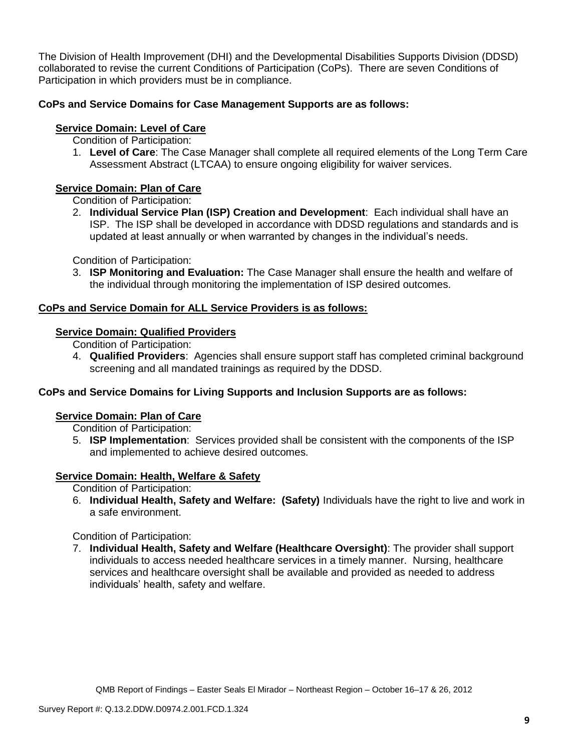The Division of Health Improvement (DHI) and the Developmental Disabilities Supports Division (DDSD) collaborated to revise the current Conditions of Participation (CoPs). There are seven Conditions of Participation in which providers must be in compliance.

# **CoPs and Service Domains for Case Management Supports are as follows:**

# **Service Domain: Level of Care**

Condition of Participation:

1. **Level of Care**: The Case Manager shall complete all required elements of the Long Term Care Assessment Abstract (LTCAA) to ensure ongoing eligibility for waiver services.

# **Service Domain: Plan of Care**

Condition of Participation:

2. **Individual Service Plan (ISP) Creation and Development**: Each individual shall have an ISP. The ISP shall be developed in accordance with DDSD regulations and standards and is updated at least annually or when warranted by changes in the individual's needs.

Condition of Participation:

3. **ISP Monitoring and Evaluation:** The Case Manager shall ensure the health and welfare of the individual through monitoring the implementation of ISP desired outcomes.

# **CoPs and Service Domain for ALL Service Providers is as follows:**

# **Service Domain: Qualified Providers**

Condition of Participation:

4. **Qualified Providers**: Agencies shall ensure support staff has completed criminal background screening and all mandated trainings as required by the DDSD.

# **CoPs and Service Domains for Living Supports and Inclusion Supports are as follows:**

### **Service Domain: Plan of Care**

Condition of Participation:

5. **ISP Implementation**: Services provided shall be consistent with the components of the ISP and implemented to achieve desired outcomes.

# **Service Domain: Health, Welfare & Safety**

Condition of Participation:

6. **Individual Health, Safety and Welfare: (Safety)** Individuals have the right to live and work in a safe environment.

Condition of Participation:

7. **Individual Health, Safety and Welfare (Healthcare Oversight)**: The provider shall support individuals to access needed healthcare services in a timely manner. Nursing, healthcare services and healthcare oversight shall be available and provided as needed to address individuals' health, safety and welfare.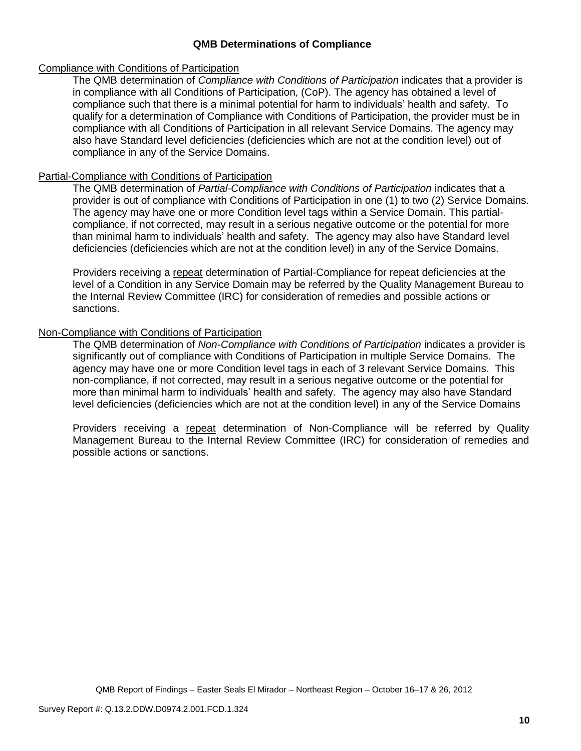## **QMB Determinations of Compliance**

### Compliance with Conditions of Participation

The QMB determination of *Compliance with Conditions of Participation* indicates that a provider is in compliance with all Conditions of Participation, (CoP). The agency has obtained a level of compliance such that there is a minimal potential for harm to individuals' health and safety. To qualify for a determination of Compliance with Conditions of Participation, the provider must be in compliance with all Conditions of Participation in all relevant Service Domains. The agency may also have Standard level deficiencies (deficiencies which are not at the condition level) out of compliance in any of the Service Domains.

### Partial-Compliance with Conditions of Participation

The QMB determination of *Partial-Compliance with Conditions of Participation* indicates that a provider is out of compliance with Conditions of Participation in one (1) to two (2) Service Domains. The agency may have one or more Condition level tags within a Service Domain. This partialcompliance, if not corrected, may result in a serious negative outcome or the potential for more than minimal harm to individuals' health and safety. The agency may also have Standard level deficiencies (deficiencies which are not at the condition level) in any of the Service Domains.

Providers receiving a repeat determination of Partial-Compliance for repeat deficiencies at the level of a Condition in any Service Domain may be referred by the Quality Management Bureau to the Internal Review Committee (IRC) for consideration of remedies and possible actions or sanctions.

## Non-Compliance with Conditions of Participation

The QMB determination of *Non-Compliance with Conditions of Participation* indicates a provider is significantly out of compliance with Conditions of Participation in multiple Service Domains. The agency may have one or more Condition level tags in each of 3 relevant Service Domains. This non-compliance, if not corrected, may result in a serious negative outcome or the potential for more than minimal harm to individuals' health and safety. The agency may also have Standard level deficiencies (deficiencies which are not at the condition level) in any of the Service Domains

Providers receiving a repeat determination of Non-Compliance will be referred by Quality Management Bureau to the Internal Review Committee (IRC) for consideration of remedies and possible actions or sanctions.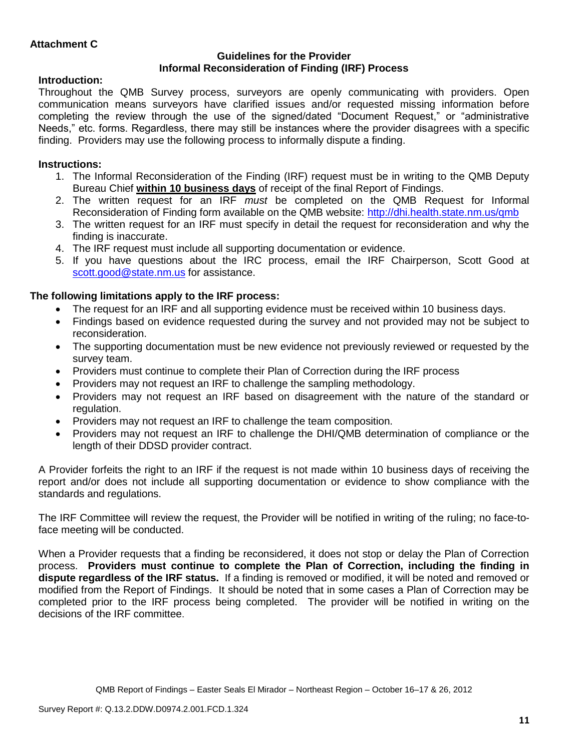## **Guidelines for the Provider Informal Reconsideration of Finding (IRF) Process**

# **Introduction:**

Throughout the QMB Survey process, surveyors are openly communicating with providers. Open communication means surveyors have clarified issues and/or requested missing information before completing the review through the use of the signed/dated "Document Request," or "administrative Needs," etc. forms. Regardless, there may still be instances where the provider disagrees with a specific finding. Providers may use the following process to informally dispute a finding.

# **Instructions:**

- 1. The Informal Reconsideration of the Finding (IRF) request must be in writing to the QMB Deputy Bureau Chief **within 10 business days** of receipt of the final Report of Findings.
- 2. The written request for an IRF *must* be completed on the QMB Request for Informal Reconsideration of Finding form available on the QMB website:<http://dhi.health.state.nm.us/qmb>
- 3. The written request for an IRF must specify in detail the request for reconsideration and why the finding is inaccurate.
- 4. The IRF request must include all supporting documentation or evidence.
- 5. If you have questions about the IRC process, email the IRF Chairperson, Scott Good at [scott.good@state.nm.us](mailto:scott.good@state.nm.us) for assistance.

# **The following limitations apply to the IRF process:**

- The request for an IRF and all supporting evidence must be received within 10 business days.
- Findings based on evidence requested during the survey and not provided may not be subject to reconsideration.
- The supporting documentation must be new evidence not previously reviewed or requested by the survey team.
- Providers must continue to complete their Plan of Correction during the IRF process
- Providers may not request an IRF to challenge the sampling methodology.
- Providers may not request an IRF based on disagreement with the nature of the standard or regulation.
- Providers may not request an IRF to challenge the team composition.
- Providers may not request an IRF to challenge the DHI/QMB determination of compliance or the length of their DDSD provider contract.

A Provider forfeits the right to an IRF if the request is not made within 10 business days of receiving the report and/or does not include all supporting documentation or evidence to show compliance with the standards and regulations.

The IRF Committee will review the request, the Provider will be notified in writing of the ruling; no face-toface meeting will be conducted.

When a Provider requests that a finding be reconsidered, it does not stop or delay the Plan of Correction process. **Providers must continue to complete the Plan of Correction, including the finding in dispute regardless of the IRF status.** If a finding is removed or modified, it will be noted and removed or modified from the Report of Findings. It should be noted that in some cases a Plan of Correction may be completed prior to the IRF process being completed. The provider will be notified in writing on the decisions of the IRF committee.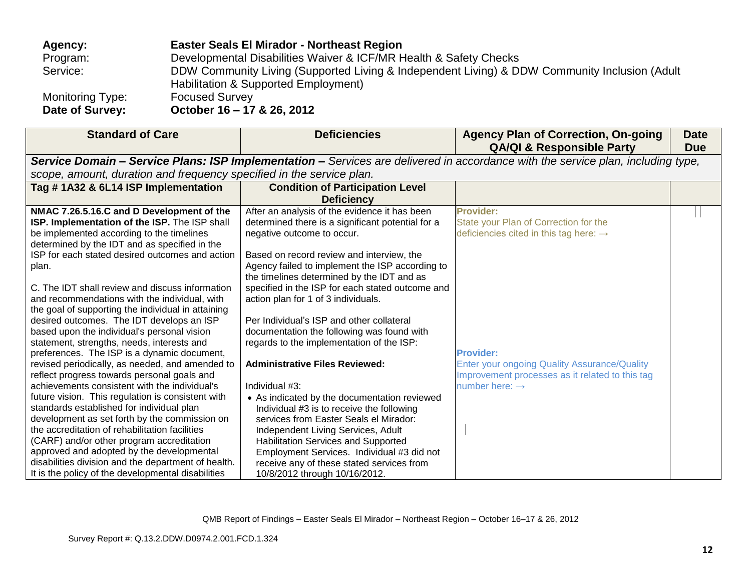| Agency:          | <b>Easter Seals El Mirador - Northeast Region</b>                                                                                     |
|------------------|---------------------------------------------------------------------------------------------------------------------------------------|
| Program:         | Developmental Disabilities Waiver & ICF/MR Health & Safety Checks                                                                     |
| Service:         | DDW Community Living (Supported Living & Independent Living) & DDW Community Inclusion (Adult<br>Habilitation & Supported Employment) |
| Monitoring Type: | <b>Focused Survey</b>                                                                                                                 |
| Date of Survey:  | October 16 - 17 & 26, 2012                                                                                                            |

| <b>Standard of Care</b>                                                                                                          | <b>Deficiencies</b>                               | <b>Agency Plan of Correction, On-going</b><br><b>QA/QI &amp; Responsible Party</b>                     | <b>Date</b><br><b>Due</b> |  |
|----------------------------------------------------------------------------------------------------------------------------------|---------------------------------------------------|--------------------------------------------------------------------------------------------------------|---------------------------|--|
| Service Domain - Service Plans: ISP Implementation - Services are delivered in accordance with the service plan, including type, |                                                   |                                                                                                        |                           |  |
| scope, amount, duration and frequency specified in the service plan.                                                             |                                                   |                                                                                                        |                           |  |
| Tag #1A32 & 6L14 ISP Implementation                                                                                              | <b>Condition of Participation Level</b>           |                                                                                                        |                           |  |
|                                                                                                                                  | <b>Deficiency</b>                                 |                                                                                                        |                           |  |
| NMAC 7.26.5.16.C and D Development of the                                                                                        | After an analysis of the evidence it has been     | <b>Provider:</b>                                                                                       |                           |  |
| ISP. Implementation of the ISP. The ISP shall                                                                                    | determined there is a significant potential for a | State your Plan of Correction for the                                                                  |                           |  |
| be implemented according to the timelines                                                                                        | negative outcome to occur.                        | deficiencies cited in this tag here: $\rightarrow$                                                     |                           |  |
| determined by the IDT and as specified in the<br>ISP for each stated desired outcomes and action                                 | Based on record review and interview, the         |                                                                                                        |                           |  |
| plan.                                                                                                                            | Agency failed to implement the ISP according to   |                                                                                                        |                           |  |
|                                                                                                                                  | the timelines determined by the IDT and as        |                                                                                                        |                           |  |
| C. The IDT shall review and discuss information                                                                                  | specified in the ISP for each stated outcome and  |                                                                                                        |                           |  |
| and recommendations with the individual, with                                                                                    | action plan for 1 of 3 individuals.               |                                                                                                        |                           |  |
| the goal of supporting the individual in attaining                                                                               |                                                   |                                                                                                        |                           |  |
| desired outcomes. The IDT develops an ISP                                                                                        | Per Individual's ISP and other collateral         |                                                                                                        |                           |  |
| based upon the individual's personal vision                                                                                      | documentation the following was found with        |                                                                                                        |                           |  |
| statement, strengths, needs, interests and                                                                                       | regards to the implementation of the ISP:         |                                                                                                        |                           |  |
| preferences. The ISP is a dynamic document,                                                                                      |                                                   | <b>Provider:</b>                                                                                       |                           |  |
| revised periodically, as needed, and amended to<br>reflect progress towards personal goals and                                   | <b>Administrative Files Reviewed:</b>             | <b>Enter your ongoing Quality Assurance/Quality</b><br>Improvement processes as it related to this tag |                           |  |
| achievements consistent with the individual's                                                                                    | Individual #3:                                    | number here: $\rightarrow$                                                                             |                           |  |
| future vision. This regulation is consistent with                                                                                | • As indicated by the documentation reviewed      |                                                                                                        |                           |  |
| standards established for individual plan                                                                                        | Individual #3 is to receive the following         |                                                                                                        |                           |  |
| development as set forth by the commission on                                                                                    | services from Easter Seals el Mirador:            |                                                                                                        |                           |  |
| the accreditation of rehabilitation facilities                                                                                   | Independent Living Services, Adult                |                                                                                                        |                           |  |
| (CARF) and/or other program accreditation                                                                                        | <b>Habilitation Services and Supported</b>        |                                                                                                        |                           |  |
| approved and adopted by the developmental                                                                                        | Employment Services. Individual #3 did not        |                                                                                                        |                           |  |
| disabilities division and the department of health.                                                                              | receive any of these stated services from         |                                                                                                        |                           |  |
| It is the policy of the developmental disabilities                                                                               | 10/8/2012 through 10/16/2012.                     |                                                                                                        |                           |  |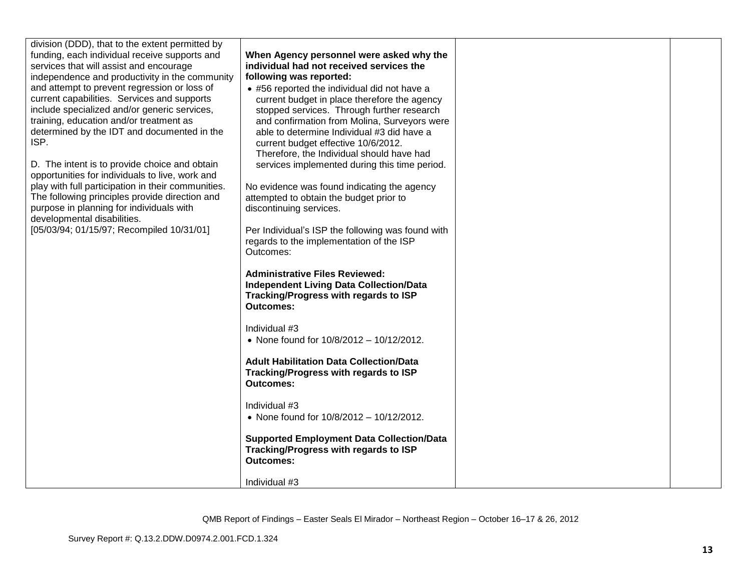| division (DDD), that to the extent permitted by    |                                                   |  |
|----------------------------------------------------|---------------------------------------------------|--|
| funding, each individual receive supports and      | When Agency personnel were asked why the          |  |
| services that will assist and encourage            | individual had not received services the          |  |
| independence and productivity in the community     | following was reported:                           |  |
| and attempt to prevent regression or loss of       | • #56 reported the individual did not have a      |  |
| current capabilities. Services and supports        | current budget in place therefore the agency      |  |
| include specialized and/or generic services,       | stopped services. Through further research        |  |
| training, education and/or treatment as            | and confirmation from Molina, Surveyors were      |  |
| determined by the IDT and documented in the        | able to determine Individual #3 did have a        |  |
| ISP.                                               | current budget effective 10/6/2012.               |  |
|                                                    | Therefore, the Individual should have had         |  |
| D. The intent is to provide choice and obtain      | services implemented during this time period.     |  |
| opportunities for individuals to live, work and    |                                                   |  |
| play with full participation in their communities. | No evidence was found indicating the agency       |  |
| The following principles provide direction and     | attempted to obtain the budget prior to           |  |
| purpose in planning for individuals with           | discontinuing services.                           |  |
| developmental disabilities.                        |                                                   |  |
| [05/03/94; 01/15/97; Recompiled 10/31/01]          | Per Individual's ISP the following was found with |  |
|                                                    | regards to the implementation of the ISP          |  |
|                                                    | Outcomes:                                         |  |
|                                                    | <b>Administrative Files Reviewed:</b>             |  |
|                                                    | <b>Independent Living Data Collection/Data</b>    |  |
|                                                    | Tracking/Progress with regards to ISP             |  |
|                                                    | <b>Outcomes:</b>                                  |  |
|                                                    |                                                   |  |
|                                                    | Individual #3                                     |  |
|                                                    | • None found for 10/8/2012 - 10/12/2012.          |  |
|                                                    |                                                   |  |
|                                                    | <b>Adult Habilitation Data Collection/Data</b>    |  |
|                                                    | Tracking/Progress with regards to ISP             |  |
|                                                    | Outcomes:                                         |  |
|                                                    | Individual #3                                     |  |
|                                                    | • None found for 10/8/2012 - 10/12/2012.          |  |
|                                                    |                                                   |  |
|                                                    | <b>Supported Employment Data Collection/Data</b>  |  |
|                                                    | Tracking/Progress with regards to ISP             |  |
|                                                    | <b>Outcomes:</b>                                  |  |
|                                                    |                                                   |  |
|                                                    | Individual #3                                     |  |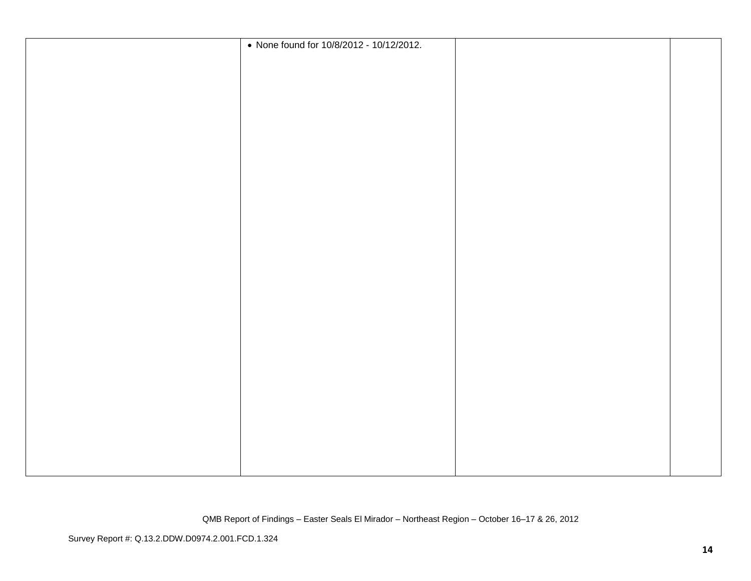|  | • None found for 10/8/2012 - 10/12/2012. |  |
|--|------------------------------------------|--|
|  |                                          |  |
|  |                                          |  |
|  |                                          |  |
|  |                                          |  |
|  |                                          |  |
|  |                                          |  |
|  |                                          |  |
|  |                                          |  |
|  |                                          |  |
|  |                                          |  |
|  |                                          |  |
|  |                                          |  |
|  |                                          |  |
|  |                                          |  |
|  |                                          |  |
|  |                                          |  |
|  |                                          |  |
|  |                                          |  |
|  |                                          |  |
|  |                                          |  |
|  |                                          |  |
|  |                                          |  |
|  |                                          |  |
|  |                                          |  |
|  |                                          |  |
|  |                                          |  |
|  |                                          |  |
|  |                                          |  |
|  |                                          |  |
|  |                                          |  |
|  |                                          |  |
|  |                                          |  |
|  |                                          |  |
|  |                                          |  |
|  |                                          |  |
|  |                                          |  |
|  |                                          |  |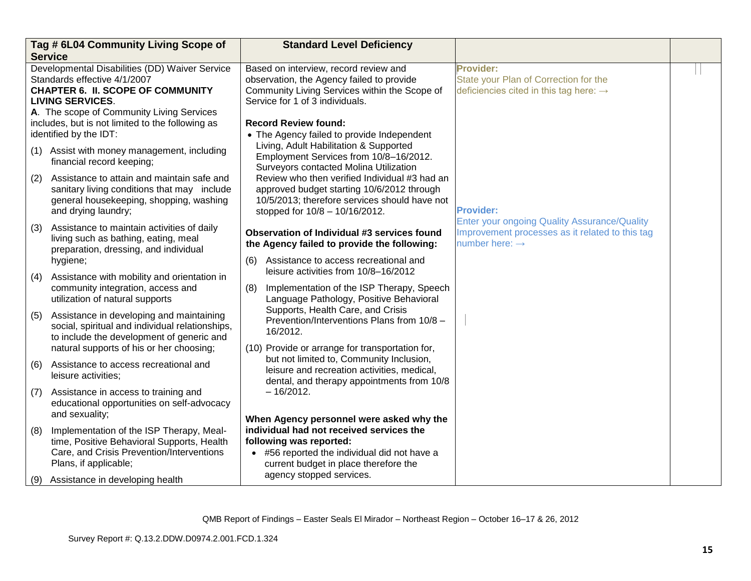|                                                                                                                                                       | Tag # 6L04 Community Living Scope of<br><b>Service</b>                                                                                                       | <b>Standard Level Deficiency</b>                                                                                                                                                         |                                                                                                                                      |  |
|-------------------------------------------------------------------------------------------------------------------------------------------------------|--------------------------------------------------------------------------------------------------------------------------------------------------------------|------------------------------------------------------------------------------------------------------------------------------------------------------------------------------------------|--------------------------------------------------------------------------------------------------------------------------------------|--|
| Developmental Disabilities (DD) Waiver Service<br>Standards effective 4/1/2007<br><b>CHAPTER 6. II. SCOPE OF COMMUNITY</b><br><b>LIVING SERVICES.</b> |                                                                                                                                                              | Based on interview, record review and<br>observation, the Agency failed to provide<br>Community Living Services within the Scope of<br>Service for 1 of 3 individuals.                   | <b>Provider:</b><br>State your Plan of Correction for the<br>deficiencies cited in this tag here: $\rightarrow$                      |  |
|                                                                                                                                                       | A. The scope of Community Living Services<br>includes, but is not limited to the following as<br>identified by the IDT:                                      | <b>Record Review found:</b><br>• The Agency failed to provide Independent<br>Living, Adult Habilitation & Supported                                                                      |                                                                                                                                      |  |
|                                                                                                                                                       | (1) Assist with money management, including<br>financial record keeping;                                                                                     | Employment Services from 10/8-16/2012.<br>Surveyors contacted Molina Utilization                                                                                                         |                                                                                                                                      |  |
| (2)                                                                                                                                                   | Assistance to attain and maintain safe and<br>sanitary living conditions that may include<br>general housekeeping, shopping, washing<br>and drying laundry;  | Review who then verified Individual #3 had an<br>approved budget starting 10/6/2012 through<br>10/5/2013; therefore services should have not<br>stopped for $10/8 - 10/16/2012$ .        | <b>Provider:</b>                                                                                                                     |  |
| (3)                                                                                                                                                   | Assistance to maintain activities of daily<br>living such as bathing, eating, meal<br>preparation, dressing, and individual<br>hygiene;                      | Observation of Individual #3 services found<br>the Agency failed to provide the following:<br>Assistance to access recreational and<br>(6)                                               | <b>Enter your ongoing Quality Assurance/Quality</b><br>Improvement processes as it related to this tag<br>number here: $\rightarrow$ |  |
| (4)                                                                                                                                                   | Assistance with mobility and orientation in<br>community integration, access and<br>utilization of natural supports                                          | leisure activities from 10/8-16/2012<br>Implementation of the ISP Therapy, Speech<br>(8)<br>Language Pathology, Positive Behavioral                                                      |                                                                                                                                      |  |
| (5)                                                                                                                                                   | Assistance in developing and maintaining<br>social, spiritual and individual relationships,<br>to include the development of generic and                     | Supports, Health Care, and Crisis<br>Prevention/Interventions Plans from 10/8 -<br>16/2012.                                                                                              |                                                                                                                                      |  |
| (6)                                                                                                                                                   | natural supports of his or her choosing;<br>Assistance to access recreational and<br>leisure activities;                                                     | (10) Provide or arrange for transportation for,<br>but not limited to, Community Inclusion,<br>leisure and recreation activities, medical,<br>dental, and therapy appointments from 10/8 |                                                                                                                                      |  |
| (7)                                                                                                                                                   | Assistance in access to training and<br>educational opportunities on self-advocacy<br>and sexuality;                                                         | $-16/2012.$<br>When Agency personnel were asked why the                                                                                                                                  |                                                                                                                                      |  |
| (8)                                                                                                                                                   | Implementation of the ISP Therapy, Meal-<br>time, Positive Behavioral Supports, Health<br>Care, and Crisis Prevention/Interventions<br>Plans, if applicable; | individual had not received services the<br>following was reported:<br>• #56 reported the individual did not have a<br>current budget in place therefore the                             |                                                                                                                                      |  |
| (9)                                                                                                                                                   | Assistance in developing health                                                                                                                              | agency stopped services.                                                                                                                                                                 |                                                                                                                                      |  |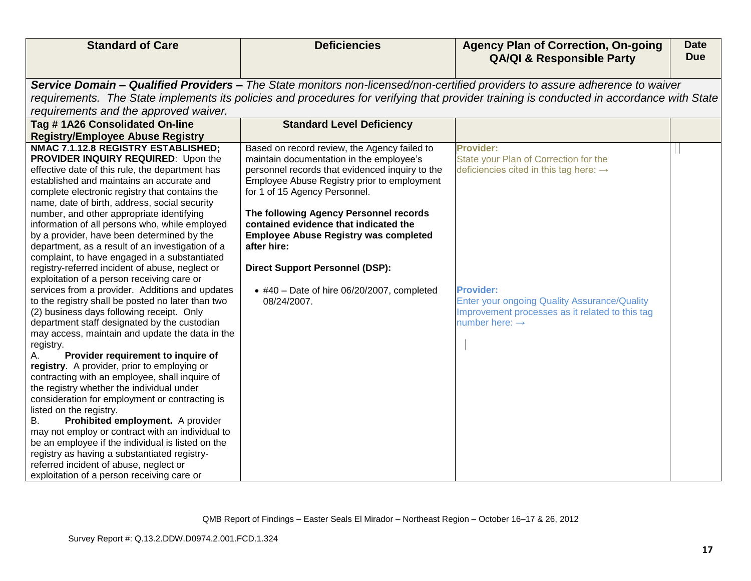| <b>Standard of Care</b>                                                           | <b>Deficiencies</b>                             | <b>Agency Plan of Correction, On-going</b>                                                                                                | <b>Date</b> |
|-----------------------------------------------------------------------------------|-------------------------------------------------|-------------------------------------------------------------------------------------------------------------------------------------------|-------------|
|                                                                                   |                                                 | <b>QA/QI &amp; Responsible Party</b>                                                                                                      | <b>Due</b>  |
|                                                                                   |                                                 | Service Domain - Qualified Providers - The State monitors non-licensed/non-certified providers to assure adherence to waiver              |             |
|                                                                                   |                                                 | requirements. The State implements its policies and procedures for verifying that provider training is conducted in accordance with State |             |
| requirements and the approved waiver.                                             |                                                 |                                                                                                                                           |             |
| Tag #1A26 Consolidated On-line                                                    | <b>Standard Level Deficiency</b>                |                                                                                                                                           |             |
| <b>Registry/Employee Abuse Registry</b>                                           |                                                 |                                                                                                                                           |             |
| NMAC 7.1.12.8 REGISTRY ESTABLISHED;                                               | Based on record review, the Agency failed to    | Provider:                                                                                                                                 |             |
| PROVIDER INQUIRY REQUIRED: Upon the                                               | maintain documentation in the employee's        | State your Plan of Correction for the                                                                                                     |             |
| effective date of this rule, the department has                                   | personnel records that evidenced inquiry to the | deficiencies cited in this tag here: $\rightarrow$                                                                                        |             |
| established and maintains an accurate and                                         | Employee Abuse Registry prior to employment     |                                                                                                                                           |             |
| complete electronic registry that contains the                                    | for 1 of 15 Agency Personnel.                   |                                                                                                                                           |             |
| name, date of birth, address, social security                                     |                                                 |                                                                                                                                           |             |
| number, and other appropriate identifying                                         | The following Agency Personnel records          |                                                                                                                                           |             |
| information of all persons who, while employed                                    | contained evidence that indicated the           |                                                                                                                                           |             |
| by a provider, have been determined by the                                        | <b>Employee Abuse Registry was completed</b>    |                                                                                                                                           |             |
| department, as a result of an investigation of a                                  | after hire:                                     |                                                                                                                                           |             |
| complaint, to have engaged in a substantiated                                     |                                                 |                                                                                                                                           |             |
| registry-referred incident of abuse, neglect or                                   | <b>Direct Support Personnel (DSP):</b>          |                                                                                                                                           |             |
| exploitation of a person receiving care or                                        |                                                 |                                                                                                                                           |             |
| services from a provider. Additions and updates                                   | $*$ #40 - Date of hire 06/20/2007, completed    | <b>Provider:</b>                                                                                                                          |             |
| to the registry shall be posted no later than two                                 | 08/24/2007.                                     | <b>Enter your ongoing Quality Assurance/Quality</b>                                                                                       |             |
| (2) business days following receipt. Only                                         |                                                 | Improvement processes as it related to this tag                                                                                           |             |
| department staff designated by the custodian                                      |                                                 | number here: $\rightarrow$                                                                                                                |             |
| may access, maintain and update the data in the                                   |                                                 |                                                                                                                                           |             |
| registry.                                                                         |                                                 |                                                                                                                                           |             |
| Provider requirement to inquire of<br>registry. A provider, prior to employing or |                                                 |                                                                                                                                           |             |
| contracting with an employee, shall inquire of                                    |                                                 |                                                                                                                                           |             |
| the registry whether the individual under                                         |                                                 |                                                                                                                                           |             |
| consideration for employment or contracting is                                    |                                                 |                                                                                                                                           |             |
| listed on the registry.                                                           |                                                 |                                                                                                                                           |             |
| Prohibited employment. A provider<br>В.                                           |                                                 |                                                                                                                                           |             |
| may not employ or contract with an individual to                                  |                                                 |                                                                                                                                           |             |
| be an employee if the individual is listed on the                                 |                                                 |                                                                                                                                           |             |
| registry as having a substantiated registry-                                      |                                                 |                                                                                                                                           |             |
| referred incident of abuse, neglect or                                            |                                                 |                                                                                                                                           |             |
| exploitation of a person receiving care or                                        |                                                 |                                                                                                                                           |             |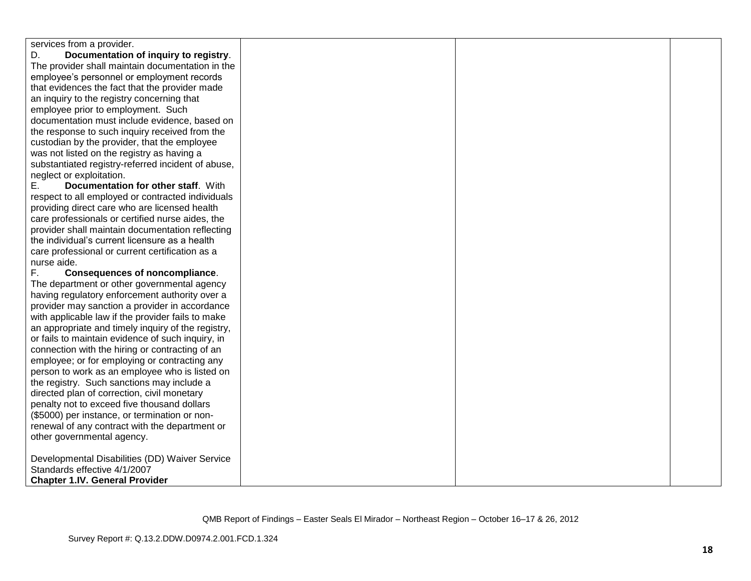| services from a provider.                          |  |  |
|----------------------------------------------------|--|--|
| Documentation of inquiry to registry.<br>D.        |  |  |
| The provider shall maintain documentation in the   |  |  |
| employee's personnel or employment records         |  |  |
| that evidences the fact that the provider made     |  |  |
| an inquiry to the registry concerning that         |  |  |
| employee prior to employment. Such                 |  |  |
| documentation must include evidence, based on      |  |  |
| the response to such inquiry received from the     |  |  |
| custodian by the provider, that the employee       |  |  |
| was not listed on the registry as having a         |  |  |
| substantiated registry-referred incident of abuse, |  |  |
| neglect or exploitation.                           |  |  |
| Documentation for other staff. With<br>Е.          |  |  |
| respect to all employed or contracted individuals  |  |  |
| providing direct care who are licensed health      |  |  |
| care professionals or certified nurse aides, the   |  |  |
| provider shall maintain documentation reflecting   |  |  |
| the individual's current licensure as a health     |  |  |
| care professional or current certification as a    |  |  |
| nurse aide.                                        |  |  |
| F.,<br><b>Consequences of noncompliance.</b>       |  |  |
| The department or other governmental agency        |  |  |
| having regulatory enforcement authority over a     |  |  |
| provider may sanction a provider in accordance     |  |  |
| with applicable law if the provider fails to make  |  |  |
| an appropriate and timely inquiry of the registry, |  |  |
| or fails to maintain evidence of such inquiry, in  |  |  |
| connection with the hiring or contracting of an    |  |  |
| employee; or for employing or contracting any      |  |  |
| person to work as an employee who is listed on     |  |  |
| the registry. Such sanctions may include a         |  |  |
| directed plan of correction, civil monetary        |  |  |
| penalty not to exceed five thousand dollars        |  |  |
| (\$5000) per instance, or termination or non-      |  |  |
| renewal of any contract with the department or     |  |  |
| other governmental agency.                         |  |  |
|                                                    |  |  |
| Developmental Disabilities (DD) Waiver Service     |  |  |
| Standards effective 4/1/2007                       |  |  |
| <b>Chapter 1.IV. General Provider</b>              |  |  |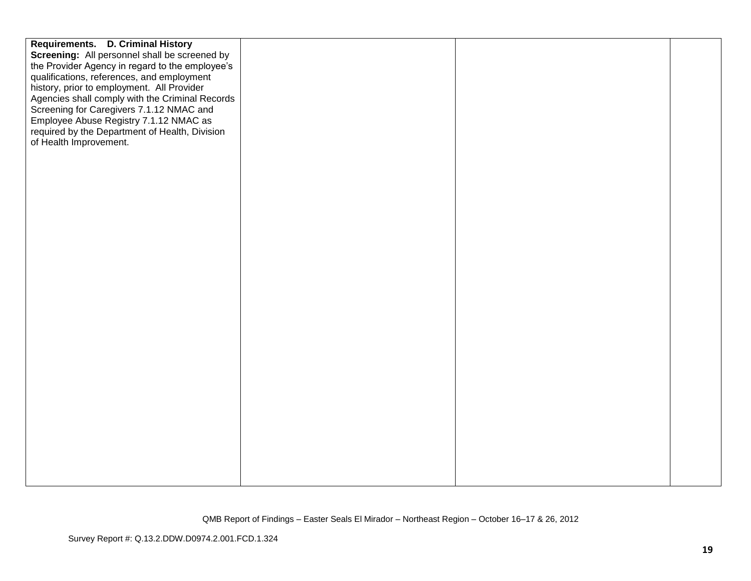| Requirements. D. Criminal History               |  |  |
|-------------------------------------------------|--|--|
| Screening: All personnel shall be screened by   |  |  |
| the Provider Agency in regard to the employee's |  |  |
| qualifications, references, and employment      |  |  |
| history, prior to employment. All Provider      |  |  |
| Agencies shall comply with the Criminal Records |  |  |
| Screening for Caregivers 7.1.12 NMAC and        |  |  |
| Employee Abuse Registry 7.1.12 NMAC as          |  |  |
| required by the Department of Health, Division  |  |  |
| of Health Improvement.                          |  |  |
|                                                 |  |  |
|                                                 |  |  |
|                                                 |  |  |
|                                                 |  |  |
|                                                 |  |  |
|                                                 |  |  |
|                                                 |  |  |
|                                                 |  |  |
|                                                 |  |  |
|                                                 |  |  |
|                                                 |  |  |
|                                                 |  |  |
|                                                 |  |  |
|                                                 |  |  |
|                                                 |  |  |
|                                                 |  |  |
|                                                 |  |  |
|                                                 |  |  |
|                                                 |  |  |
|                                                 |  |  |
|                                                 |  |  |
|                                                 |  |  |
|                                                 |  |  |
|                                                 |  |  |
|                                                 |  |  |
|                                                 |  |  |
|                                                 |  |  |
|                                                 |  |  |
|                                                 |  |  |
|                                                 |  |  |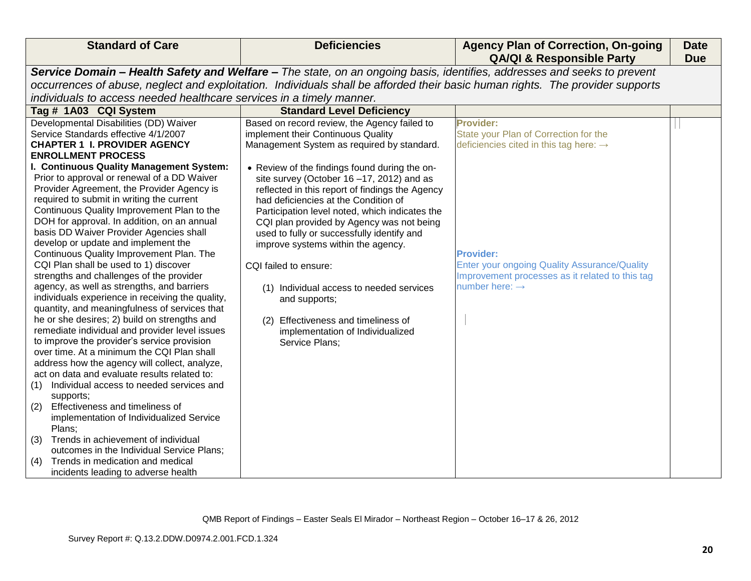| Service Domain - Health Safety and Welfare - The state, on an ongoing basis, identifies, addresses and seeks to prevent<br>occurrences of abuse, neglect and exploitation. Individuals shall be afforded their basic human rights. The provider supports<br>individuals to access needed healthcare services in a timely manner.<br><b>Standard Level Deficiency</b><br>Tag # 1A03 CQI System<br>Developmental Disabilities (DD) Waiver<br>Based on record review, the Agency failed to<br>Provider:<br>Service Standards effective 4/1/2007<br>implement their Continuous Quality<br>State your Plan of Correction for the<br><b>CHAPTER 1 I. PROVIDER AGENCY</b><br>Management System as required by standard.<br>deficiencies cited in this tag here: $\rightarrow$<br><b>ENROLLMENT PROCESS</b><br>I. Continuous Quality Management System:<br>• Review of the findings found during the on-<br>Prior to approval or renewal of a DD Waiver<br>site survey (October 16-17, 2012) and as<br>Provider Agreement, the Provider Agency is<br>reflected in this report of findings the Agency<br>required to submit in writing the current<br>had deficiencies at the Condition of<br>Continuous Quality Improvement Plan to the<br>Participation level noted, which indicates the<br>DOH for approval. In addition, on an annual<br>CQI plan provided by Agency was not being<br>basis DD Waiver Provider Agencies shall<br>used to fully or successfully identify and<br>develop or update and implement the<br>improve systems within the agency.<br>Continuous Quality Improvement Plan. The<br><b>Provider:</b><br>CQI Plan shall be used to 1) discover<br><b>Enter your ongoing Quality Assurance/Quality</b><br>CQI failed to ensure:<br>strengths and challenges of the provider<br>Improvement processes as it related to this tag<br>number here: $\rightarrow$<br>agency, as well as strengths, and barriers<br>(1) Individual access to needed services<br>individuals experience in receiving the quality,<br>and supports; | <b>Standard of Care</b>                       | <b>Deficiencies</b> | <b>Agency Plan of Correction, On-going</b><br><b>QA/QI &amp; Responsible Party</b> | <b>Date</b><br><b>Due</b> |  |
|------------------------------------------------------------------------------------------------------------------------------------------------------------------------------------------------------------------------------------------------------------------------------------------------------------------------------------------------------------------------------------------------------------------------------------------------------------------------------------------------------------------------------------------------------------------------------------------------------------------------------------------------------------------------------------------------------------------------------------------------------------------------------------------------------------------------------------------------------------------------------------------------------------------------------------------------------------------------------------------------------------------------------------------------------------------------------------------------------------------------------------------------------------------------------------------------------------------------------------------------------------------------------------------------------------------------------------------------------------------------------------------------------------------------------------------------------------------------------------------------------------------------------------------------------------------------------------------------------------------------------------------------------------------------------------------------------------------------------------------------------------------------------------------------------------------------------------------------------------------------------------------------------------------------------------------------------------------------------------------------------------------------------------------|-----------------------------------------------|---------------------|------------------------------------------------------------------------------------|---------------------------|--|
|                                                                                                                                                                                                                                                                                                                                                                                                                                                                                                                                                                                                                                                                                                                                                                                                                                                                                                                                                                                                                                                                                                                                                                                                                                                                                                                                                                                                                                                                                                                                                                                                                                                                                                                                                                                                                                                                                                                                                                                                                                          |                                               |                     |                                                                                    |                           |  |
|                                                                                                                                                                                                                                                                                                                                                                                                                                                                                                                                                                                                                                                                                                                                                                                                                                                                                                                                                                                                                                                                                                                                                                                                                                                                                                                                                                                                                                                                                                                                                                                                                                                                                                                                                                                                                                                                                                                                                                                                                                          |                                               |                     |                                                                                    |                           |  |
|                                                                                                                                                                                                                                                                                                                                                                                                                                                                                                                                                                                                                                                                                                                                                                                                                                                                                                                                                                                                                                                                                                                                                                                                                                                                                                                                                                                                                                                                                                                                                                                                                                                                                                                                                                                                                                                                                                                                                                                                                                          |                                               |                     |                                                                                    |                           |  |
|                                                                                                                                                                                                                                                                                                                                                                                                                                                                                                                                                                                                                                                                                                                                                                                                                                                                                                                                                                                                                                                                                                                                                                                                                                                                                                                                                                                                                                                                                                                                                                                                                                                                                                                                                                                                                                                                                                                                                                                                                                          |                                               |                     |                                                                                    |                           |  |
| he or she desires; 2) build on strengths and<br>Effectiveness and timeliness of<br>(2)<br>remediate individual and provider level issues<br>implementation of Individualized<br>to improve the provider's service provision<br>Service Plans;<br>over time. At a minimum the CQI Plan shall<br>address how the agency will collect, analyze,<br>act on data and evaluate results related to:<br>Individual access to needed services and<br>(1)<br>supports;<br>Effectiveness and timeliness of<br>(2)<br>implementation of Individualized Service<br>Plans:<br>Trends in achievement of individual<br>(3)<br>outcomes in the Individual Service Plans;<br>Trends in medication and medical<br>(4)<br>incidents leading to adverse health                                                                                                                                                                                                                                                                                                                                                                                                                                                                                                                                                                                                                                                                                                                                                                                                                                                                                                                                                                                                                                                                                                                                                                                                                                                                                                | quantity, and meaningfulness of services that |                     |                                                                                    |                           |  |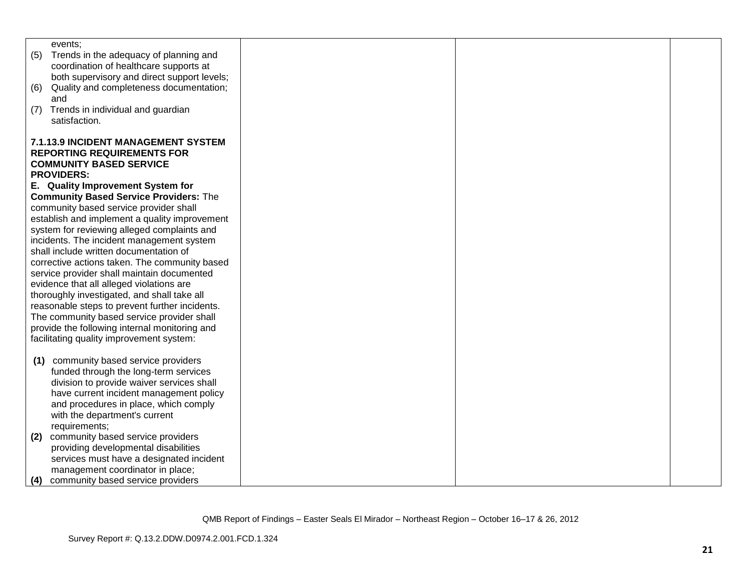| events:                                                                                   |  |  |
|-------------------------------------------------------------------------------------------|--|--|
| Trends in the adequacy of planning and<br>(5)                                             |  |  |
| coordination of healthcare supports at                                                    |  |  |
| both supervisory and direct support levels;                                               |  |  |
| Quality and completeness documentation;<br>(6)                                            |  |  |
| and                                                                                       |  |  |
| Trends in individual and guardian<br>(7)<br>satisfaction.                                 |  |  |
|                                                                                           |  |  |
| 7.1.13.9 INCIDENT MANAGEMENT SYSTEM                                                       |  |  |
| <b>REPORTING REQUIREMENTS FOR</b>                                                         |  |  |
| <b>COMMUNITY BASED SERVICE</b>                                                            |  |  |
| <b>PROVIDERS:</b>                                                                         |  |  |
| E. Quality Improvement System for                                                         |  |  |
| <b>Community Based Service Providers: The</b>                                             |  |  |
| community based service provider shall                                                    |  |  |
| establish and implement a quality improvement                                             |  |  |
| system for reviewing alleged complaints and                                               |  |  |
| incidents. The incident management system                                                 |  |  |
| shall include written documentation of                                                    |  |  |
| corrective actions taken. The community based                                             |  |  |
| service provider shall maintain documented                                                |  |  |
| evidence that all alleged violations are                                                  |  |  |
| thoroughly investigated, and shall take all                                               |  |  |
| reasonable steps to prevent further incidents.                                            |  |  |
| The community based service provider shall                                                |  |  |
| provide the following internal monitoring and<br>facilitating quality improvement system: |  |  |
|                                                                                           |  |  |
| community based service providers<br>(1)                                                  |  |  |
| funded through the long-term services                                                     |  |  |
| division to provide waiver services shall                                                 |  |  |
| have current incident management policy                                                   |  |  |
| and procedures in place, which comply                                                     |  |  |
| with the department's current                                                             |  |  |
| requirements;                                                                             |  |  |
| community based service providers<br>(2)                                                  |  |  |
| providing developmental disabilities                                                      |  |  |
| services must have a designated incident                                                  |  |  |
| management coordinator in place;                                                          |  |  |
| community based service providers<br>(4)                                                  |  |  |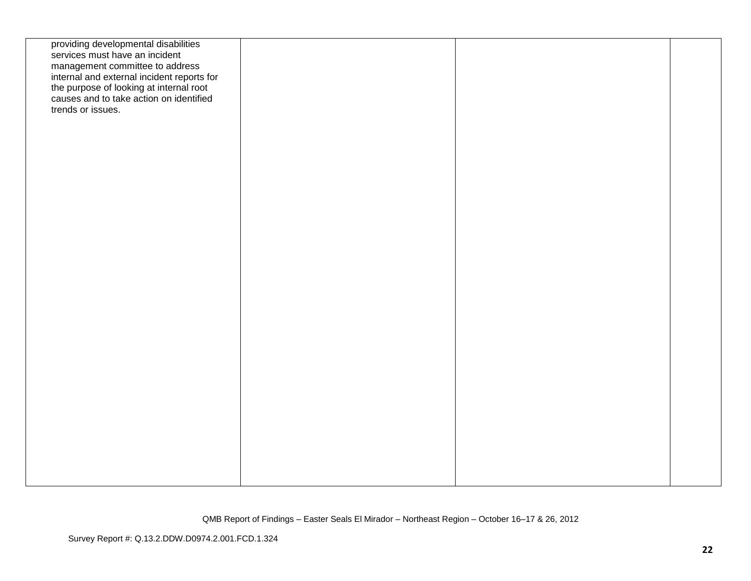| providing developmental disabilities<br>services must have an incident<br>management committee to address<br>internal and external incident reports for<br>the purpose of looking at internal root<br>causes and to take action on identified<br>trends or issues. |  |  |
|--------------------------------------------------------------------------------------------------------------------------------------------------------------------------------------------------------------------------------------------------------------------|--|--|
|                                                                                                                                                                                                                                                                    |  |  |
|                                                                                                                                                                                                                                                                    |  |  |
|                                                                                                                                                                                                                                                                    |  |  |
|                                                                                                                                                                                                                                                                    |  |  |
|                                                                                                                                                                                                                                                                    |  |  |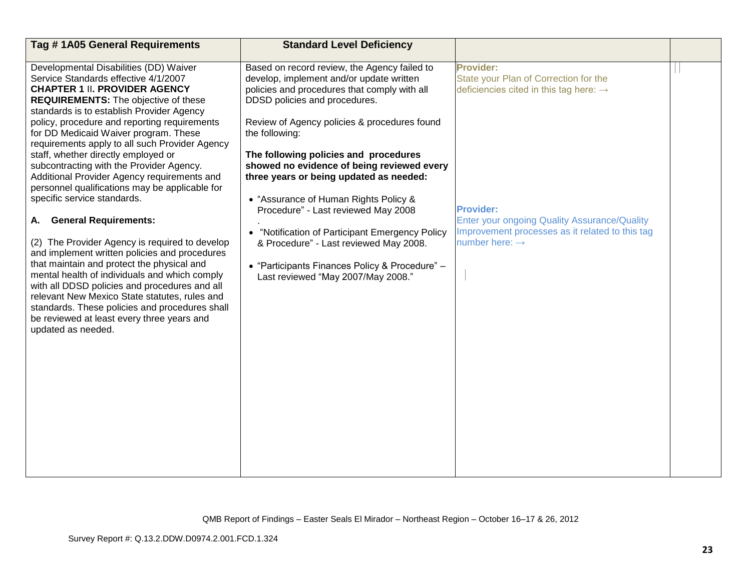| Tag #1A05 General Requirements                                                                                                                                                                                                                                                                                                                                                                                                                                                                                                                                                                                                                                                                                                                                                                                                                                                                                                                                                                                                                   | <b>Standard Level Deficiency</b>                                                                                                                                                                                                                                                                                                                                                                                                                                                                                                                                                                                                                              |                                                                                                                                                                                                                                                                      |  |
|--------------------------------------------------------------------------------------------------------------------------------------------------------------------------------------------------------------------------------------------------------------------------------------------------------------------------------------------------------------------------------------------------------------------------------------------------------------------------------------------------------------------------------------------------------------------------------------------------------------------------------------------------------------------------------------------------------------------------------------------------------------------------------------------------------------------------------------------------------------------------------------------------------------------------------------------------------------------------------------------------------------------------------------------------|---------------------------------------------------------------------------------------------------------------------------------------------------------------------------------------------------------------------------------------------------------------------------------------------------------------------------------------------------------------------------------------------------------------------------------------------------------------------------------------------------------------------------------------------------------------------------------------------------------------------------------------------------------------|----------------------------------------------------------------------------------------------------------------------------------------------------------------------------------------------------------------------------------------------------------------------|--|
| Developmental Disabilities (DD) Waiver<br>Service Standards effective 4/1/2007<br><b>CHAPTER 1 II. PROVIDER AGENCY</b><br><b>REQUIREMENTS:</b> The objective of these<br>standards is to establish Provider Agency<br>policy, procedure and reporting requirements<br>for DD Medicaid Waiver program. These<br>requirements apply to all such Provider Agency<br>staff, whether directly employed or<br>subcontracting with the Provider Agency.<br>Additional Provider Agency requirements and<br>personnel qualifications may be applicable for<br>specific service standards.<br><b>General Requirements:</b><br>А.<br>(2) The Provider Agency is required to develop<br>and implement written policies and procedures<br>that maintain and protect the physical and<br>mental health of individuals and which comply<br>with all DDSD policies and procedures and all<br>relevant New Mexico State statutes, rules and<br>standards. These policies and procedures shall<br>be reviewed at least every three years and<br>updated as needed. | Based on record review, the Agency failed to<br>develop, implement and/or update written<br>policies and procedures that comply with all<br>DDSD policies and procedures.<br>Review of Agency policies & procedures found<br>the following:<br>The following policies and procedures<br>showed no evidence of being reviewed every<br>three years or being updated as needed:<br>• "Assurance of Human Rights Policy &<br>Procedure" - Last reviewed May 2008<br>"Notification of Participant Emergency Policy<br>$\bullet$<br>& Procedure" - Last reviewed May 2008.<br>• "Participants Finances Policy & Procedure" -<br>Last reviewed "May 2007/May 2008." | <b>Provider:</b><br>State your Plan of Correction for the<br>deficiencies cited in this tag here: $\rightarrow$<br><b>Provider:</b><br>Enter your ongoing Quality Assurance/Quality<br>Improvement processes as it related to this tag<br>number here: $\rightarrow$ |  |
|                                                                                                                                                                                                                                                                                                                                                                                                                                                                                                                                                                                                                                                                                                                                                                                                                                                                                                                                                                                                                                                  |                                                                                                                                                                                                                                                                                                                                                                                                                                                                                                                                                                                                                                                               |                                                                                                                                                                                                                                                                      |  |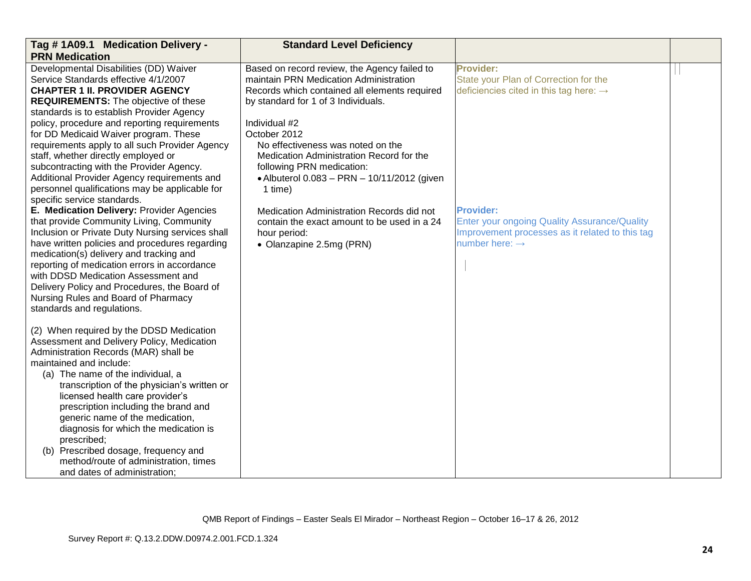| Tag # 1A09.1 Medication Delivery -               | <b>Standard Level Deficiency</b>              |                                                     |  |
|--------------------------------------------------|-----------------------------------------------|-----------------------------------------------------|--|
| <b>PRN Medication</b>                            |                                               |                                                     |  |
| Developmental Disabilities (DD) Waiver           | Based on record review, the Agency failed to  | <b>Provider:</b>                                    |  |
| Service Standards effective 4/1/2007             | maintain PRN Medication Administration        | State your Plan of Correction for the               |  |
| <b>CHAPTER 1 II. PROVIDER AGENCY</b>             | Records which contained all elements required | deficiencies cited in this tag here: $\rightarrow$  |  |
| <b>REQUIREMENTS:</b> The objective of these      | by standard for 1 of 3 Individuals.           |                                                     |  |
| standards is to establish Provider Agency        |                                               |                                                     |  |
| policy, procedure and reporting requirements     | Individual #2                                 |                                                     |  |
| for DD Medicaid Waiver program. These            | October 2012                                  |                                                     |  |
| requirements apply to all such Provider Agency   | No effectiveness was noted on the             |                                                     |  |
| staff, whether directly employed or              | Medication Administration Record for the      |                                                     |  |
| subcontracting with the Provider Agency.         | following PRN medication:                     |                                                     |  |
| Additional Provider Agency requirements and      | • Albuterol 0.083 - PRN - 10/11/2012 (given   |                                                     |  |
| personnel qualifications may be applicable for   | 1 time)                                       |                                                     |  |
| specific service standards.                      |                                               |                                                     |  |
| E. Medication Delivery: Provider Agencies        | Medication Administration Records did not     | <b>Provider:</b>                                    |  |
| that provide Community Living, Community         | contain the exact amount to be used in a 24   | <b>Enter your ongoing Quality Assurance/Quality</b> |  |
| Inclusion or Private Duty Nursing services shall | hour period:                                  | Improvement processes as it related to this tag     |  |
| have written policies and procedures regarding   | • Olanzapine 2.5mg (PRN)                      | number here: $\rightarrow$                          |  |
| medication(s) delivery and tracking and          |                                               |                                                     |  |
| reporting of medication errors in accordance     |                                               |                                                     |  |
| with DDSD Medication Assessment and              |                                               |                                                     |  |
| Delivery Policy and Procedures, the Board of     |                                               |                                                     |  |
| Nursing Rules and Board of Pharmacy              |                                               |                                                     |  |
| standards and regulations.                       |                                               |                                                     |  |
|                                                  |                                               |                                                     |  |
| (2) When required by the DDSD Medication         |                                               |                                                     |  |
| Assessment and Delivery Policy, Medication       |                                               |                                                     |  |
| Administration Records (MAR) shall be            |                                               |                                                     |  |
| maintained and include:                          |                                               |                                                     |  |
| (a) The name of the individual, a                |                                               |                                                     |  |
| transcription of the physician's written or      |                                               |                                                     |  |
| licensed health care provider's                  |                                               |                                                     |  |
| prescription including the brand and             |                                               |                                                     |  |
| generic name of the medication,                  |                                               |                                                     |  |
| diagnosis for which the medication is            |                                               |                                                     |  |
| prescribed;                                      |                                               |                                                     |  |
| (b) Prescribed dosage, frequency and             |                                               |                                                     |  |
| method/route of administration, times            |                                               |                                                     |  |
| and dates of administration;                     |                                               |                                                     |  |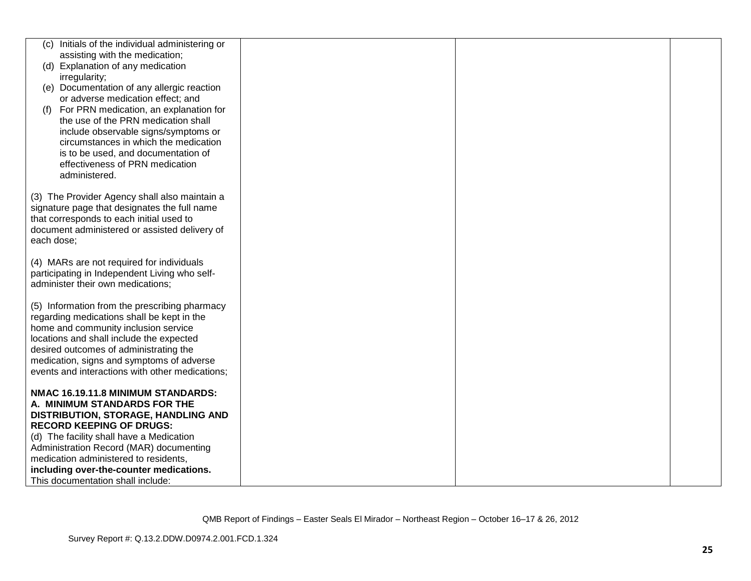|            | (c) Initials of the individual administering or                               |  |  |
|------------|-------------------------------------------------------------------------------|--|--|
|            | assisting with the medication;                                                |  |  |
|            | (d) Explanation of any medication                                             |  |  |
|            | irregularity;                                                                 |  |  |
|            | (e) Documentation of any allergic reaction                                    |  |  |
|            | or adverse medication effect; and                                             |  |  |
|            |                                                                               |  |  |
| (f)        | For PRN medication, an explanation for<br>the use of the PRN medication shall |  |  |
|            |                                                                               |  |  |
|            | include observable signs/symptoms or                                          |  |  |
|            | circumstances in which the medication                                         |  |  |
|            | is to be used, and documentation of                                           |  |  |
|            | effectiveness of PRN medication                                               |  |  |
|            | administered.                                                                 |  |  |
|            |                                                                               |  |  |
|            | (3) The Provider Agency shall also maintain a                                 |  |  |
|            | signature page that designates the full name                                  |  |  |
|            | that corresponds to each initial used to                                      |  |  |
|            | document administered or assisted delivery of                                 |  |  |
| each dose; |                                                                               |  |  |
|            |                                                                               |  |  |
|            | (4) MARs are not required for individuals                                     |  |  |
|            | participating in Independent Living who self-                                 |  |  |
|            | administer their own medications;                                             |  |  |
|            |                                                                               |  |  |
|            | (5) Information from the prescribing pharmacy                                 |  |  |
|            | regarding medications shall be kept in the                                    |  |  |
|            | home and community inclusion service                                          |  |  |
|            | locations and shall include the expected                                      |  |  |
|            | desired outcomes of administrating the                                        |  |  |
|            | medication, signs and symptoms of adverse                                     |  |  |
|            | events and interactions with other medications;                               |  |  |
|            |                                                                               |  |  |
|            | NMAC 16.19.11.8 MINIMUM STANDARDS:                                            |  |  |
|            | A. MINIMUM STANDARDS FOR THE                                                  |  |  |
|            | DISTRIBUTION, STORAGE, HANDLING AND                                           |  |  |
|            | <b>RECORD KEEPING OF DRUGS:</b>                                               |  |  |
|            | (d) The facility shall have a Medication                                      |  |  |
|            | Administration Record (MAR) documenting                                       |  |  |
|            | medication administered to residents,                                         |  |  |
|            | including over-the-counter medications.                                       |  |  |
|            | This documentation shall include:                                             |  |  |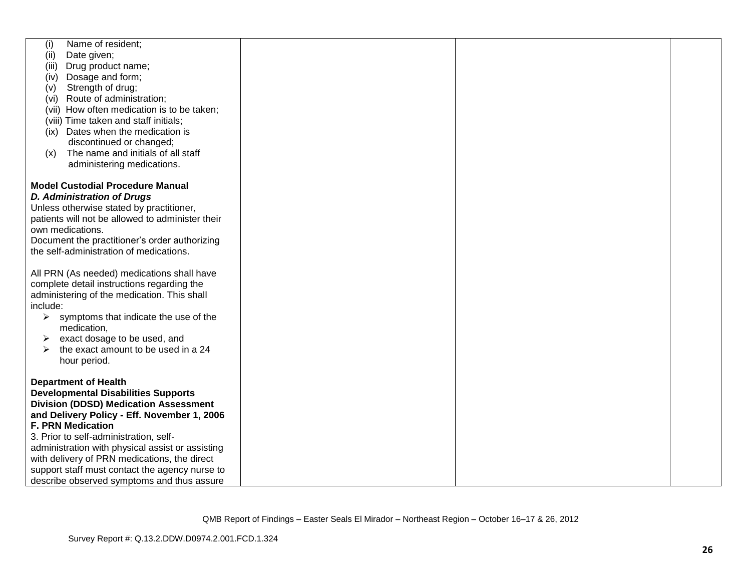| Name of resident;<br>(i)                               |  |  |
|--------------------------------------------------------|--|--|
| Date given;<br>(ii)                                    |  |  |
| Drug product name;<br>(iii)                            |  |  |
| Dosage and form;<br>(iv)                               |  |  |
| Strength of drug;<br>(v)                               |  |  |
| (vi) Route of administration;                          |  |  |
| (vii) How often medication is to be taken;             |  |  |
|                                                        |  |  |
| (viii) Time taken and staff initials;                  |  |  |
| (ix) Dates when the medication is                      |  |  |
| discontinued or changed;                               |  |  |
| The name and initials of all staff<br>(x)              |  |  |
| administering medications.                             |  |  |
|                                                        |  |  |
| <b>Model Custodial Procedure Manual</b>                |  |  |
| <b>D. Administration of Drugs</b>                      |  |  |
| Unless otherwise stated by practitioner,               |  |  |
| patients will not be allowed to administer their       |  |  |
| own medications.                                       |  |  |
| Document the practitioner's order authorizing          |  |  |
| the self-administration of medications.                |  |  |
|                                                        |  |  |
|                                                        |  |  |
| All PRN (As needed) medications shall have             |  |  |
| complete detail instructions regarding the             |  |  |
| administering of the medication. This shall            |  |  |
| include:                                               |  |  |
| $\triangleright$ symptoms that indicate the use of the |  |  |
| medication,                                            |  |  |
| exact dosage to be used, and<br>➤                      |  |  |
| the exact amount to be used in a 24<br>➤               |  |  |
| hour period.                                           |  |  |
|                                                        |  |  |
| <b>Department of Health</b>                            |  |  |
| <b>Developmental Disabilities Supports</b>             |  |  |
| <b>Division (DDSD) Medication Assessment</b>           |  |  |
| and Delivery Policy - Eff. November 1, 2006            |  |  |
| <b>F. PRN Medication</b>                               |  |  |
| 3. Prior to self-administration, self-                 |  |  |
| administration with physical assist or assisting       |  |  |
|                                                        |  |  |
| with delivery of PRN medications, the direct           |  |  |
| support staff must contact the agency nurse to         |  |  |
| describe observed symptoms and thus assure             |  |  |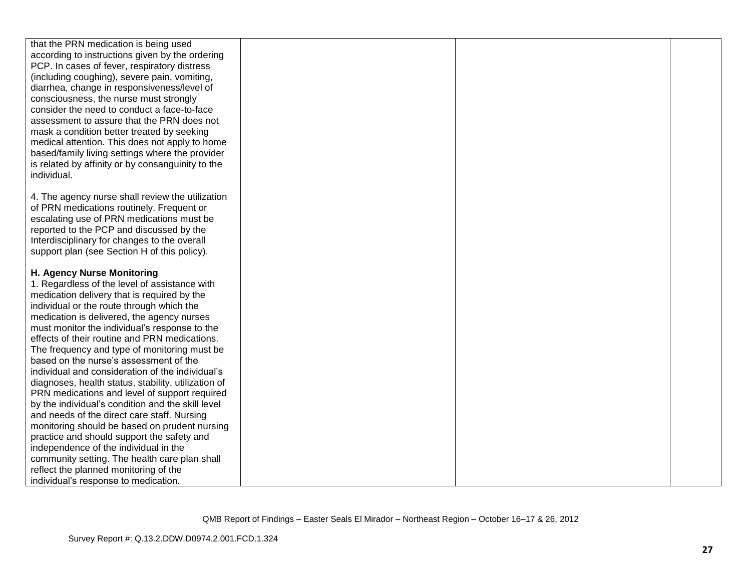| that the PRN medication is being used               |  |  |
|-----------------------------------------------------|--|--|
| according to instructions given by the ordering     |  |  |
| PCP. In cases of fever, respiratory distress        |  |  |
|                                                     |  |  |
| (including coughing), severe pain, vomiting,        |  |  |
| diarrhea, change in responsiveness/level of         |  |  |
| consciousness, the nurse must strongly              |  |  |
| consider the need to conduct a face-to-face         |  |  |
| assessment to assure that the PRN does not          |  |  |
| mask a condition better treated by seeking          |  |  |
| medical attention. This does not apply to home      |  |  |
| based/family living settings where the provider     |  |  |
| is related by affinity or by consanguinity to the   |  |  |
| individual.                                         |  |  |
|                                                     |  |  |
| 4. The agency nurse shall review the utilization    |  |  |
| of PRN medications routinely. Frequent or           |  |  |
| escalating use of PRN medications must be           |  |  |
| reported to the PCP and discussed by the            |  |  |
| Interdisciplinary for changes to the overall        |  |  |
| support plan (see Section H of this policy).        |  |  |
|                                                     |  |  |
| H. Agency Nurse Monitoring                          |  |  |
| 1. Regardless of the level of assistance with       |  |  |
| medication delivery that is required by the         |  |  |
| individual or the route through which the           |  |  |
| medication is delivered, the agency nurses          |  |  |
| must monitor the individual's response to the       |  |  |
| effects of their routine and PRN medications.       |  |  |
| The frequency and type of monitoring must be        |  |  |
| based on the nurse's assessment of the              |  |  |
| individual and consideration of the individual's    |  |  |
| diagnoses, health status, stability, utilization of |  |  |
| PRN medications and level of support required       |  |  |
| by the individual's condition and the skill level   |  |  |
| and needs of the direct care staff. Nursing         |  |  |
| monitoring should be based on prudent nursing       |  |  |
| practice and should support the safety and          |  |  |
| independence of the individual in the               |  |  |
| community setting. The health care plan shall       |  |  |
| reflect the planned monitoring of the               |  |  |
| individual's response to medication.                |  |  |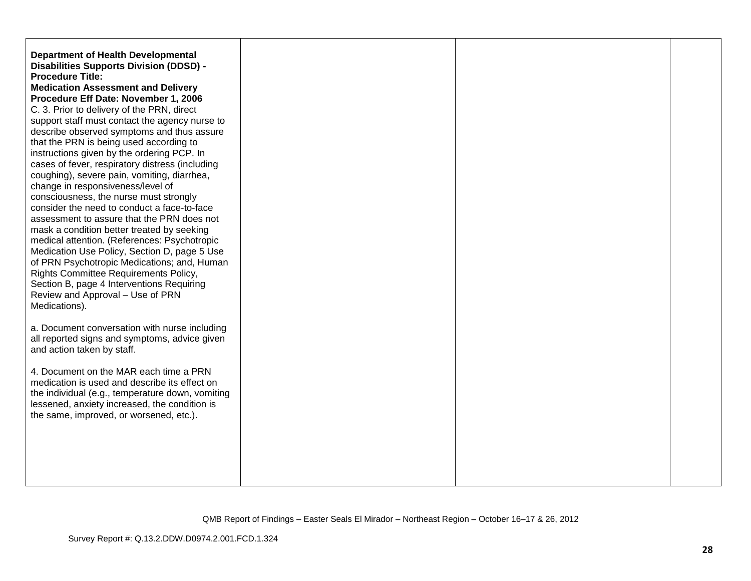| <b>Department of Health Developmental</b><br><b>Disabilities Supports Division (DDSD) -</b><br><b>Procedure Title:</b><br><b>Medication Assessment and Delivery</b><br>Procedure Eff Date: November 1, 2006<br>C. 3. Prior to delivery of the PRN, direct<br>support staff must contact the agency nurse to<br>describe observed symptoms and thus assure<br>that the PRN is being used according to<br>instructions given by the ordering PCP. In<br>cases of fever, respiratory distress (including<br>coughing), severe pain, vomiting, diarrhea,<br>change in responsiveness/level of<br>consciousness, the nurse must strongly<br>consider the need to conduct a face-to-face<br>assessment to assure that the PRN does not<br>mask a condition better treated by seeking<br>medical attention. (References: Psychotropic<br>Medication Use Policy, Section D, page 5 Use<br>of PRN Psychotropic Medications; and, Human<br>Rights Committee Requirements Policy,<br>Section B, page 4 Interventions Requiring<br>Review and Approval - Use of PRN<br>Medications). |  |  |
|--------------------------------------------------------------------------------------------------------------------------------------------------------------------------------------------------------------------------------------------------------------------------------------------------------------------------------------------------------------------------------------------------------------------------------------------------------------------------------------------------------------------------------------------------------------------------------------------------------------------------------------------------------------------------------------------------------------------------------------------------------------------------------------------------------------------------------------------------------------------------------------------------------------------------------------------------------------------------------------------------------------------------------------------------------------------------|--|--|
| a. Document conversation with nurse including<br>all reported signs and symptoms, advice given<br>and action taken by staff.                                                                                                                                                                                                                                                                                                                                                                                                                                                                                                                                                                                                                                                                                                                                                                                                                                                                                                                                             |  |  |
| 4. Document on the MAR each time a PRN<br>medication is used and describe its effect on<br>the individual (e.g., temperature down, vomiting<br>lessened, anxiety increased, the condition is<br>the same, improved, or worsened, etc.).                                                                                                                                                                                                                                                                                                                                                                                                                                                                                                                                                                                                                                                                                                                                                                                                                                  |  |  |
|                                                                                                                                                                                                                                                                                                                                                                                                                                                                                                                                                                                                                                                                                                                                                                                                                                                                                                                                                                                                                                                                          |  |  |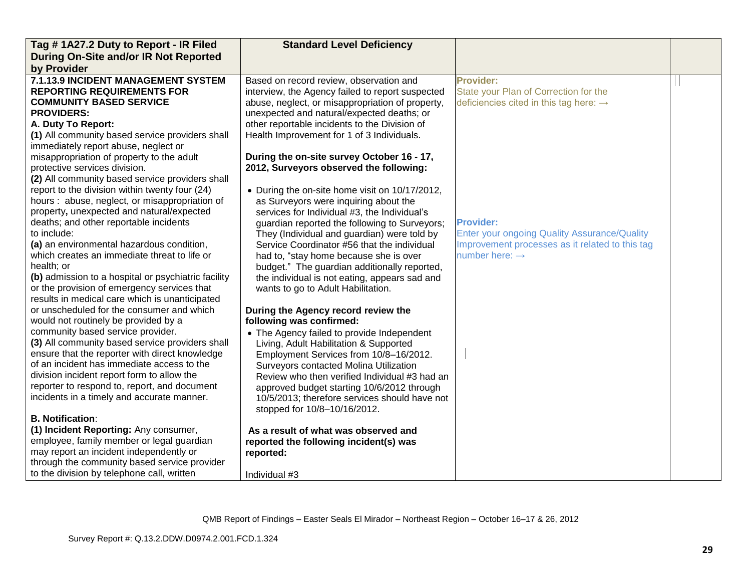| Tag #1A27.2 Duty to Report - IR Filed                                                | <b>Standard Level Deficiency</b>                 |                                                    |  |
|--------------------------------------------------------------------------------------|--------------------------------------------------|----------------------------------------------------|--|
| During On-Site and/or IR Not Reported                                                |                                                  |                                                    |  |
| by Provider                                                                          |                                                  |                                                    |  |
| 7.1.13.9 INCIDENT MANAGEMENT SYSTEM                                                  | Based on record review, observation and          | <b>Provider:</b>                                   |  |
| <b>REPORTING REQUIREMENTS FOR</b>                                                    | interview, the Agency failed to report suspected | State your Plan of Correction for the              |  |
| <b>COMMUNITY BASED SERVICE</b>                                                       | abuse, neglect, or misappropriation of property, | deficiencies cited in this tag here: $\rightarrow$ |  |
| <b>PROVIDERS:</b>                                                                    | unexpected and natural/expected deaths; or       |                                                    |  |
| A. Duty To Report:                                                                   | other reportable incidents to the Division of    |                                                    |  |
| (1) All community based service providers shall                                      | Health Improvement for 1 of 3 Individuals.       |                                                    |  |
| immediately report abuse, neglect or                                                 |                                                  |                                                    |  |
| misappropriation of property to the adult                                            | During the on-site survey October 16 - 17,       |                                                    |  |
| protective services division.                                                        | 2012, Surveyors observed the following:          |                                                    |  |
| (2) All community based service providers shall                                      |                                                  |                                                    |  |
| report to the division within twenty four (24)                                       | • During the on-site home visit on 10/17/2012,   |                                                    |  |
| hours : abuse, neglect, or misappropriation of                                       | as Surveyors were inquiring about the            |                                                    |  |
| property, unexpected and natural/expected                                            | services for Individual #3, the Individual's     |                                                    |  |
| deaths; and other reportable incidents                                               | guardian reported the following to Surveyors;    | <b>Provider:</b>                                   |  |
| to include:                                                                          | They (Individual and guardian) were told by      | Enter your ongoing Quality Assurance/Quality       |  |
| (a) an environmental hazardous condition,                                            | Service Coordinator #56 that the individual      | Improvement processes as it related to this tag    |  |
| which creates an immediate threat to life or                                         | had to, "stay home because she is over           | number here: $\rightarrow$                         |  |
| health; or                                                                           | budget." The guardian additionally reported,     |                                                    |  |
| (b) admission to a hospital or psychiatric facility                                  | the individual is not eating, appears sad and    |                                                    |  |
| or the provision of emergency services that                                          | wants to go to Adult Habilitation.               |                                                    |  |
| results in medical care which is unanticipated                                       |                                                  |                                                    |  |
| or unscheduled for the consumer and which                                            | During the Agency record review the              |                                                    |  |
| would not routinely be provided by a                                                 | following was confirmed:                         |                                                    |  |
| community based service provider.                                                    | • The Agency failed to provide Independent       |                                                    |  |
| (3) All community based service providers shall                                      | Living, Adult Habilitation & Supported           |                                                    |  |
| ensure that the reporter with direct knowledge                                       | Employment Services from 10/8-16/2012.           |                                                    |  |
| of an incident has immediate access to the                                           | Surveyors contacted Molina Utilization           |                                                    |  |
| division incident report form to allow the                                           | Review who then verified Individual #3 had an    |                                                    |  |
| reporter to respond to, report, and document                                         | approved budget starting 10/6/2012 through       |                                                    |  |
| incidents in a timely and accurate manner.                                           | 10/5/2013; therefore services should have not    |                                                    |  |
| <b>B. Notification:</b>                                                              | stopped for 10/8-10/16/2012.                     |                                                    |  |
|                                                                                      |                                                  |                                                    |  |
| (1) Incident Reporting: Any consumer,                                                | As a result of what was observed and             |                                                    |  |
| employee, family member or legal guardian<br>may report an incident independently or | reported the following incident(s) was           |                                                    |  |
| through the community based service provider                                         | reported:                                        |                                                    |  |
|                                                                                      |                                                  |                                                    |  |
| to the division by telephone call, written                                           | Individual #3                                    |                                                    |  |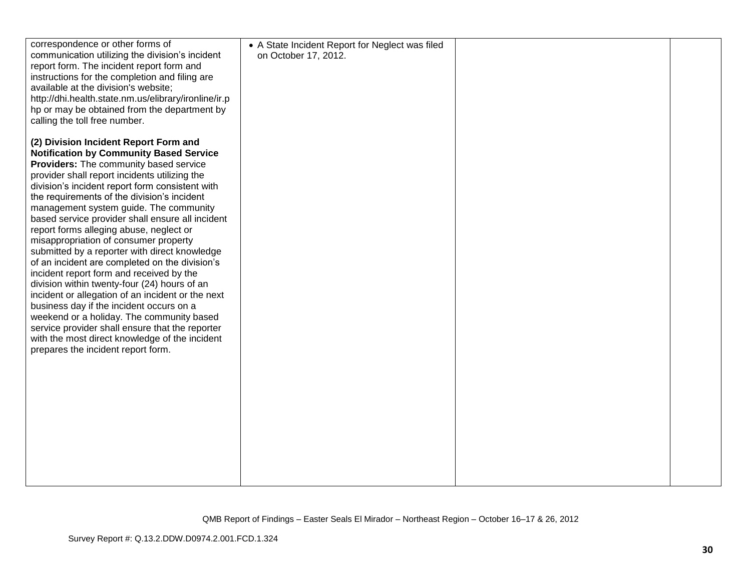| correspondence or other forms of<br>communication utilizing the division's incident            | • A State Incident Report for Neglect was filed<br>on October 17, 2012. |  |
|------------------------------------------------------------------------------------------------|-------------------------------------------------------------------------|--|
| report form. The incident report form and<br>instructions for the completion and filing are    |                                                                         |  |
| available at the division's website;<br>http://dhi.health.state.nm.us/elibrary/ironline/ir.p   |                                                                         |  |
| hp or may be obtained from the department by                                                   |                                                                         |  |
| calling the toll free number.                                                                  |                                                                         |  |
| (2) Division Incident Report Form and                                                          |                                                                         |  |
| <b>Notification by Community Based Service</b><br>Providers: The community based service       |                                                                         |  |
| provider shall report incidents utilizing the                                                  |                                                                         |  |
| division's incident report form consistent with<br>the requirements of the division's incident |                                                                         |  |
| management system guide. The community                                                         |                                                                         |  |
| based service provider shall ensure all incident                                               |                                                                         |  |
| report forms alleging abuse, neglect or<br>misappropriation of consumer property               |                                                                         |  |
| submitted by a reporter with direct knowledge                                                  |                                                                         |  |
| of an incident are completed on the division's<br>incident report form and received by the     |                                                                         |  |
| division within twenty-four (24) hours of an                                                   |                                                                         |  |
| incident or allegation of an incident or the next                                              |                                                                         |  |
| business day if the incident occurs on a<br>weekend or a holiday. The community based          |                                                                         |  |
| service provider shall ensure that the reporter                                                |                                                                         |  |
| with the most direct knowledge of the incident<br>prepares the incident report form.           |                                                                         |  |
|                                                                                                |                                                                         |  |
|                                                                                                |                                                                         |  |
|                                                                                                |                                                                         |  |
|                                                                                                |                                                                         |  |
|                                                                                                |                                                                         |  |
|                                                                                                |                                                                         |  |
|                                                                                                |                                                                         |  |
|                                                                                                |                                                                         |  |
|                                                                                                |                                                                         |  |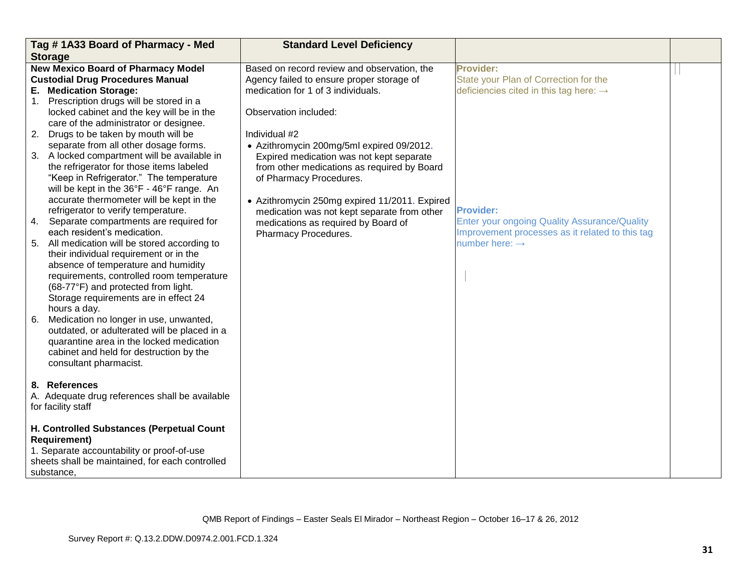|                | Tag #1A33 Board of Pharmacy - Med               | <b>Standard Level Deficiency</b>              |                                                     |  |
|----------------|-------------------------------------------------|-----------------------------------------------|-----------------------------------------------------|--|
|                | <b>Storage</b>                                  |                                               |                                                     |  |
|                | <b>New Mexico Board of Pharmacy Model</b>       | Based on record review and observation, the   | <b>Provider:</b>                                    |  |
|                | <b>Custodial Drug Procedures Manual</b>         | Agency failed to ensure proper storage of     | State your Plan of Correction for the               |  |
|                | E. Medication Storage:                          | medication for 1 of 3 individuals.            | deficiencies cited in this tag here: $\rightarrow$  |  |
| 1 <sub>1</sub> | Prescription drugs will be stored in a          |                                               |                                                     |  |
|                | locked cabinet and the key will be in the       | Observation included:                         |                                                     |  |
|                | care of the administrator or designee.          |                                               |                                                     |  |
|                | 2. Drugs to be taken by mouth will be           | Individual #2                                 |                                                     |  |
|                | separate from all other dosage forms.           | • Azithromycin 200mg/5ml expired 09/2012.     |                                                     |  |
|                | 3. A locked compartment will be available in    | Expired medication was not kept separate      |                                                     |  |
|                | the refrigerator for those items labeled        | from other medications as required by Board   |                                                     |  |
|                | "Keep in Refrigerator." The temperature         | of Pharmacy Procedures.                       |                                                     |  |
|                | will be kept in the 36°F - 46°F range. An       |                                               |                                                     |  |
|                | accurate thermometer will be kept in the        | • Azithromycin 250mg expired 11/2011. Expired |                                                     |  |
|                | refrigerator to verify temperature.             | medication was not kept separate from other   | <b>Provider:</b>                                    |  |
| 4.             | Separate compartments are required for          | medications as required by Board of           | <b>Enter your ongoing Quality Assurance/Quality</b> |  |
|                | each resident's medication.                     | Pharmacy Procedures.                          | Improvement processes as it related to this tag     |  |
|                | 5. All medication will be stored according to   |                                               | number here: $\rightarrow$                          |  |
|                | their individual requirement or in the          |                                               |                                                     |  |
|                | absence of temperature and humidity             |                                               |                                                     |  |
|                | requirements, controlled room temperature       |                                               |                                                     |  |
|                | (68-77°F) and protected from light.             |                                               |                                                     |  |
|                | Storage requirements are in effect 24           |                                               |                                                     |  |
|                | hours a day.                                    |                                               |                                                     |  |
| 6.             | Medication no longer in use, unwanted,          |                                               |                                                     |  |
|                | outdated, or adulterated will be placed in a    |                                               |                                                     |  |
|                | quarantine area in the locked medication        |                                               |                                                     |  |
|                | cabinet and held for destruction by the         |                                               |                                                     |  |
|                | consultant pharmacist.                          |                                               |                                                     |  |
|                |                                                 |                                               |                                                     |  |
|                | 8. References                                   |                                               |                                                     |  |
|                | A. Adequate drug references shall be available  |                                               |                                                     |  |
|                | for facility staff                              |                                               |                                                     |  |
|                |                                                 |                                               |                                                     |  |
|                | H. Controlled Substances (Perpetual Count       |                                               |                                                     |  |
|                | <b>Requirement)</b>                             |                                               |                                                     |  |
|                | 1. Separate accountability or proof-of-use      |                                               |                                                     |  |
|                | sheets shall be maintained, for each controlled |                                               |                                                     |  |
|                | substance,                                      |                                               |                                                     |  |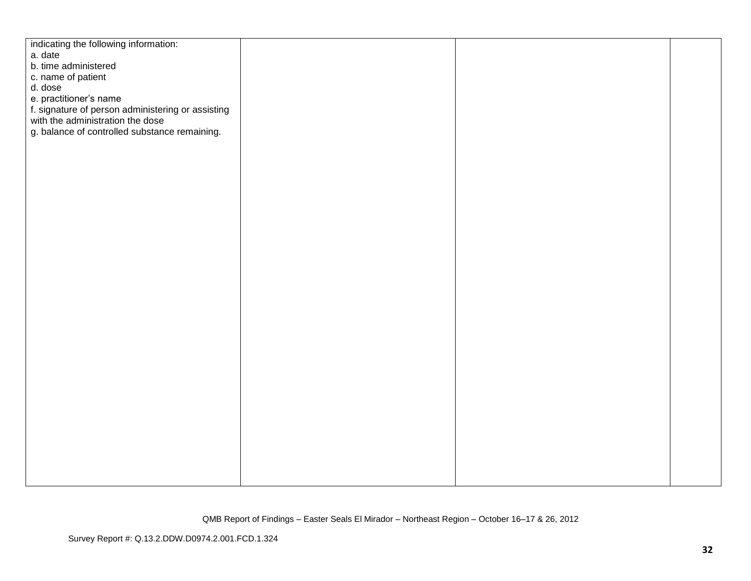| indicating the following information:             |  |  |
|---------------------------------------------------|--|--|
| a. date                                           |  |  |
| b. time administered                              |  |  |
| c. name of patient                                |  |  |
| d. dose                                           |  |  |
| e. practitioner's name                            |  |  |
| f. signature of person administering or assisting |  |  |
| with the administration the dose                  |  |  |
| g. balance of controlled substance remaining.     |  |  |
|                                                   |  |  |
|                                                   |  |  |
|                                                   |  |  |
|                                                   |  |  |
|                                                   |  |  |
|                                                   |  |  |
|                                                   |  |  |
|                                                   |  |  |
|                                                   |  |  |
|                                                   |  |  |
|                                                   |  |  |
|                                                   |  |  |
|                                                   |  |  |
|                                                   |  |  |
|                                                   |  |  |
|                                                   |  |  |
|                                                   |  |  |
|                                                   |  |  |
|                                                   |  |  |
|                                                   |  |  |
|                                                   |  |  |
|                                                   |  |  |
|                                                   |  |  |
|                                                   |  |  |
|                                                   |  |  |
|                                                   |  |  |
|                                                   |  |  |
|                                                   |  |  |
|                                                   |  |  |
|                                                   |  |  |
|                                                   |  |  |
|                                                   |  |  |
|                                                   |  |  |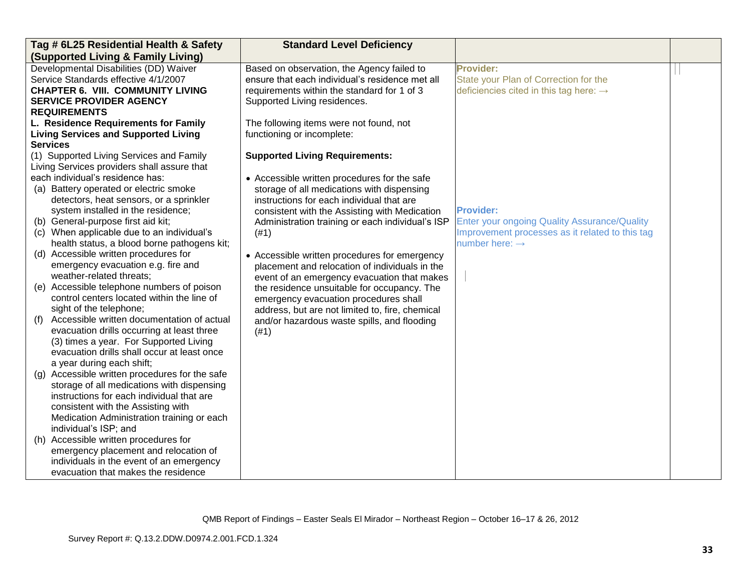| Tag # 6L25 Residential Health & Safety                                                                                                                                                                                                                                                                                                                                                                                                                                                                                                                                                                                                                                          | <b>Standard Level Deficiency</b>                                                                       |                                                     |  |
|---------------------------------------------------------------------------------------------------------------------------------------------------------------------------------------------------------------------------------------------------------------------------------------------------------------------------------------------------------------------------------------------------------------------------------------------------------------------------------------------------------------------------------------------------------------------------------------------------------------------------------------------------------------------------------|--------------------------------------------------------------------------------------------------------|-----------------------------------------------------|--|
| (Supported Living & Family Living)                                                                                                                                                                                                                                                                                                                                                                                                                                                                                                                                                                                                                                              |                                                                                                        |                                                     |  |
| Developmental Disabilities (DD) Waiver                                                                                                                                                                                                                                                                                                                                                                                                                                                                                                                                                                                                                                          | Based on observation, the Agency failed to                                                             | <b>Provider:</b>                                    |  |
| Service Standards effective 4/1/2007                                                                                                                                                                                                                                                                                                                                                                                                                                                                                                                                                                                                                                            | ensure that each individual's residence met all                                                        | State your Plan of Correction for the               |  |
| <b>CHAPTER 6. VIII. COMMUNITY LIVING</b>                                                                                                                                                                                                                                                                                                                                                                                                                                                                                                                                                                                                                                        | requirements within the standard for 1 of 3                                                            | deficiencies cited in this tag here: $\rightarrow$  |  |
| <b>SERVICE PROVIDER AGENCY</b>                                                                                                                                                                                                                                                                                                                                                                                                                                                                                                                                                                                                                                                  | Supported Living residences.                                                                           |                                                     |  |
| <b>REQUIREMENTS</b>                                                                                                                                                                                                                                                                                                                                                                                                                                                                                                                                                                                                                                                             |                                                                                                        |                                                     |  |
| L. Residence Requirements for Family                                                                                                                                                                                                                                                                                                                                                                                                                                                                                                                                                                                                                                            | The following items were not found, not                                                                |                                                     |  |
| <b>Living Services and Supported Living</b>                                                                                                                                                                                                                                                                                                                                                                                                                                                                                                                                                                                                                                     | functioning or incomplete:                                                                             |                                                     |  |
| <b>Services</b>                                                                                                                                                                                                                                                                                                                                                                                                                                                                                                                                                                                                                                                                 |                                                                                                        |                                                     |  |
| (1) Supported Living Services and Family<br>Living Services providers shall assure that                                                                                                                                                                                                                                                                                                                                                                                                                                                                                                                                                                                         | <b>Supported Living Requirements:</b>                                                                  |                                                     |  |
| each individual's residence has:                                                                                                                                                                                                                                                                                                                                                                                                                                                                                                                                                                                                                                                | • Accessible written procedures for the safe                                                           |                                                     |  |
| (a) Battery operated or electric smoke                                                                                                                                                                                                                                                                                                                                                                                                                                                                                                                                                                                                                                          | storage of all medications with dispensing                                                             |                                                     |  |
| detectors, heat sensors, or a sprinkler                                                                                                                                                                                                                                                                                                                                                                                                                                                                                                                                                                                                                                         | instructions for each individual that are                                                              |                                                     |  |
| system installed in the residence;                                                                                                                                                                                                                                                                                                                                                                                                                                                                                                                                                                                                                                              | consistent with the Assisting with Medication                                                          | <b>Provider:</b>                                    |  |
| (b) General-purpose first aid kit;                                                                                                                                                                                                                                                                                                                                                                                                                                                                                                                                                                                                                                              | Administration training or each individual's ISP                                                       | <b>Enter your ongoing Quality Assurance/Quality</b> |  |
| (c) When applicable due to an individual's                                                                                                                                                                                                                                                                                                                                                                                                                                                                                                                                                                                                                                      | (#1)                                                                                                   | Improvement processes as it related to this tag     |  |
| health status, a blood borne pathogens kit;                                                                                                                                                                                                                                                                                                                                                                                                                                                                                                                                                                                                                                     |                                                                                                        | number here: $\rightarrow$                          |  |
| (d) Accessible written procedures for                                                                                                                                                                                                                                                                                                                                                                                                                                                                                                                                                                                                                                           | • Accessible written procedures for emergency                                                          |                                                     |  |
| emergency evacuation e.g. fire and                                                                                                                                                                                                                                                                                                                                                                                                                                                                                                                                                                                                                                              | placement and relocation of individuals in the                                                         |                                                     |  |
| weather-related threats;                                                                                                                                                                                                                                                                                                                                                                                                                                                                                                                                                                                                                                                        | event of an emergency evacuation that makes                                                            |                                                     |  |
| (e) Accessible telephone numbers of poison                                                                                                                                                                                                                                                                                                                                                                                                                                                                                                                                                                                                                                      | the residence unsuitable for occupancy. The                                                            |                                                     |  |
| control centers located within the line of                                                                                                                                                                                                                                                                                                                                                                                                                                                                                                                                                                                                                                      | emergency evacuation procedures shall                                                                  |                                                     |  |
|                                                                                                                                                                                                                                                                                                                                                                                                                                                                                                                                                                                                                                                                                 |                                                                                                        |                                                     |  |
|                                                                                                                                                                                                                                                                                                                                                                                                                                                                                                                                                                                                                                                                                 |                                                                                                        |                                                     |  |
|                                                                                                                                                                                                                                                                                                                                                                                                                                                                                                                                                                                                                                                                                 |                                                                                                        |                                                     |  |
|                                                                                                                                                                                                                                                                                                                                                                                                                                                                                                                                                                                                                                                                                 |                                                                                                        |                                                     |  |
|                                                                                                                                                                                                                                                                                                                                                                                                                                                                                                                                                                                                                                                                                 |                                                                                                        |                                                     |  |
|                                                                                                                                                                                                                                                                                                                                                                                                                                                                                                                                                                                                                                                                                 |                                                                                                        |                                                     |  |
|                                                                                                                                                                                                                                                                                                                                                                                                                                                                                                                                                                                                                                                                                 |                                                                                                        |                                                     |  |
|                                                                                                                                                                                                                                                                                                                                                                                                                                                                                                                                                                                                                                                                                 |                                                                                                        |                                                     |  |
|                                                                                                                                                                                                                                                                                                                                                                                                                                                                                                                                                                                                                                                                                 |                                                                                                        |                                                     |  |
|                                                                                                                                                                                                                                                                                                                                                                                                                                                                                                                                                                                                                                                                                 |                                                                                                        |                                                     |  |
|                                                                                                                                                                                                                                                                                                                                                                                                                                                                                                                                                                                                                                                                                 |                                                                                                        |                                                     |  |
|                                                                                                                                                                                                                                                                                                                                                                                                                                                                                                                                                                                                                                                                                 |                                                                                                        |                                                     |  |
|                                                                                                                                                                                                                                                                                                                                                                                                                                                                                                                                                                                                                                                                                 |                                                                                                        |                                                     |  |
|                                                                                                                                                                                                                                                                                                                                                                                                                                                                                                                                                                                                                                                                                 |                                                                                                        |                                                     |  |
|                                                                                                                                                                                                                                                                                                                                                                                                                                                                                                                                                                                                                                                                                 |                                                                                                        |                                                     |  |
| sight of the telephone;<br>Accessible written documentation of actual<br>(f)<br>evacuation drills occurring at least three<br>(3) times a year. For Supported Living<br>evacuation drills shall occur at least once<br>a year during each shift;<br>(g) Accessible written procedures for the safe<br>storage of all medications with dispensing<br>instructions for each individual that are<br>consistent with the Assisting with<br>Medication Administration training or each<br>individual's ISP; and<br>(h) Accessible written procedures for<br>emergency placement and relocation of<br>individuals in the event of an emergency<br>evacuation that makes the residence | address, but are not limited to, fire, chemical<br>and/or hazardous waste spills, and flooding<br>(#1) |                                                     |  |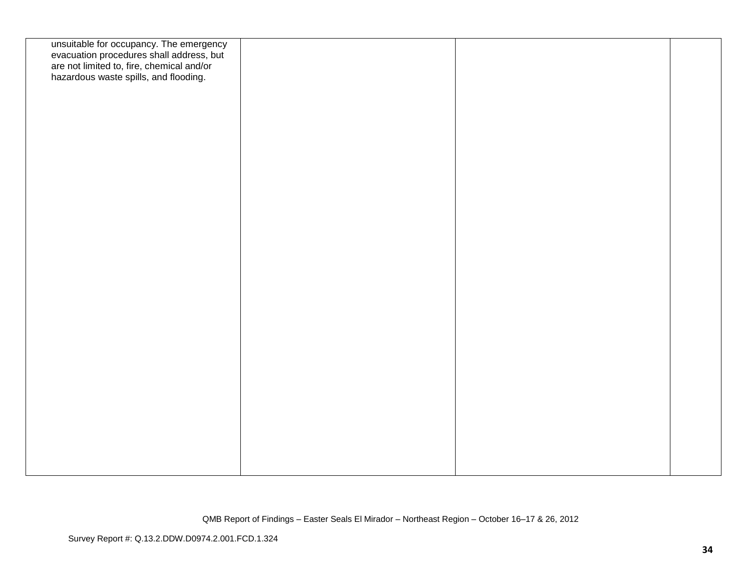| unsuitable for occupancy. The emergency<br>evacuation procedures shall address, but<br>are not limited to, fire, chemical and/or<br>hazardous waste spills, and flooding. |  |  |
|---------------------------------------------------------------------------------------------------------------------------------------------------------------------------|--|--|
|                                                                                                                                                                           |  |  |
|                                                                                                                                                                           |  |  |
|                                                                                                                                                                           |  |  |
|                                                                                                                                                                           |  |  |
|                                                                                                                                                                           |  |  |
|                                                                                                                                                                           |  |  |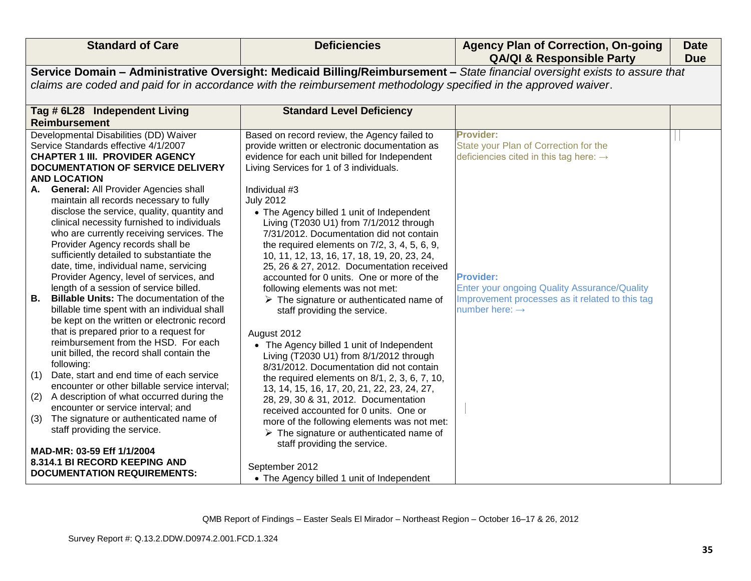| <b>Standard of Care</b>                                                                                                                                                                                                                                                                                                                                                                                                                                                                                                                                                                                                                                                                                                                                                                                                                                                                                                                                                                                                                                                                                                                   | <b>Deficiencies</b>                                                                                                                                                                                                                                                                                                                                                                                                                                                                                                                                                                                                                                                                                                                                                                                                                                                                                                                                                                              | <b>Agency Plan of Correction, On-going</b><br><b>QA/QI &amp; Responsible Party</b>                                                                       | <b>Date</b><br><b>Due</b> |  |
|-------------------------------------------------------------------------------------------------------------------------------------------------------------------------------------------------------------------------------------------------------------------------------------------------------------------------------------------------------------------------------------------------------------------------------------------------------------------------------------------------------------------------------------------------------------------------------------------------------------------------------------------------------------------------------------------------------------------------------------------------------------------------------------------------------------------------------------------------------------------------------------------------------------------------------------------------------------------------------------------------------------------------------------------------------------------------------------------------------------------------------------------|--------------------------------------------------------------------------------------------------------------------------------------------------------------------------------------------------------------------------------------------------------------------------------------------------------------------------------------------------------------------------------------------------------------------------------------------------------------------------------------------------------------------------------------------------------------------------------------------------------------------------------------------------------------------------------------------------------------------------------------------------------------------------------------------------------------------------------------------------------------------------------------------------------------------------------------------------------------------------------------------------|----------------------------------------------------------------------------------------------------------------------------------------------------------|---------------------------|--|
|                                                                                                                                                                                                                                                                                                                                                                                                                                                                                                                                                                                                                                                                                                                                                                                                                                                                                                                                                                                                                                                                                                                                           |                                                                                                                                                                                                                                                                                                                                                                                                                                                                                                                                                                                                                                                                                                                                                                                                                                                                                                                                                                                                  | Service Domain - Administrative Oversight: Medicaid Billing/Reimbursement - State financial oversight exists to assure that                              |                           |  |
|                                                                                                                                                                                                                                                                                                                                                                                                                                                                                                                                                                                                                                                                                                                                                                                                                                                                                                                                                                                                                                                                                                                                           | claims are coded and paid for in accordance with the reimbursement methodology specified in the approved waiver.                                                                                                                                                                                                                                                                                                                                                                                                                                                                                                                                                                                                                                                                                                                                                                                                                                                                                 |                                                                                                                                                          |                           |  |
| Tag # 6L28 Independent Living                                                                                                                                                                                                                                                                                                                                                                                                                                                                                                                                                                                                                                                                                                                                                                                                                                                                                                                                                                                                                                                                                                             | <b>Standard Level Deficiency</b>                                                                                                                                                                                                                                                                                                                                                                                                                                                                                                                                                                                                                                                                                                                                                                                                                                                                                                                                                                 |                                                                                                                                                          |                           |  |
| <b>Reimbursement</b>                                                                                                                                                                                                                                                                                                                                                                                                                                                                                                                                                                                                                                                                                                                                                                                                                                                                                                                                                                                                                                                                                                                      |                                                                                                                                                                                                                                                                                                                                                                                                                                                                                                                                                                                                                                                                                                                                                                                                                                                                                                                                                                                                  |                                                                                                                                                          |                           |  |
| Developmental Disabilities (DD) Waiver                                                                                                                                                                                                                                                                                                                                                                                                                                                                                                                                                                                                                                                                                                                                                                                                                                                                                                                                                                                                                                                                                                    | Based on record review, the Agency failed to                                                                                                                                                                                                                                                                                                                                                                                                                                                                                                                                                                                                                                                                                                                                                                                                                                                                                                                                                     | <b>Provider:</b>                                                                                                                                         |                           |  |
| Service Standards effective 4/1/2007                                                                                                                                                                                                                                                                                                                                                                                                                                                                                                                                                                                                                                                                                                                                                                                                                                                                                                                                                                                                                                                                                                      | provide written or electronic documentation as                                                                                                                                                                                                                                                                                                                                                                                                                                                                                                                                                                                                                                                                                                                                                                                                                                                                                                                                                   | State your Plan of Correction for the                                                                                                                    |                           |  |
| <b>CHAPTER 1 III. PROVIDER AGENCY</b>                                                                                                                                                                                                                                                                                                                                                                                                                                                                                                                                                                                                                                                                                                                                                                                                                                                                                                                                                                                                                                                                                                     | evidence for each unit billed for Independent                                                                                                                                                                                                                                                                                                                                                                                                                                                                                                                                                                                                                                                                                                                                                                                                                                                                                                                                                    | deficiencies cited in this tag here: $\rightarrow$                                                                                                       |                           |  |
| <b>DOCUMENTATION OF SERVICE DELIVERY</b>                                                                                                                                                                                                                                                                                                                                                                                                                                                                                                                                                                                                                                                                                                                                                                                                                                                                                                                                                                                                                                                                                                  | Living Services for 1 of 3 individuals.                                                                                                                                                                                                                                                                                                                                                                                                                                                                                                                                                                                                                                                                                                                                                                                                                                                                                                                                                          |                                                                                                                                                          |                           |  |
| <b>AND LOCATION</b><br><b>General: All Provider Agencies shall</b><br>А.<br>maintain all records necessary to fully<br>disclose the service, quality, quantity and<br>clinical necessity furnished to individuals<br>who are currently receiving services. The<br>Provider Agency records shall be<br>sufficiently detailed to substantiate the<br>date, time, individual name, servicing<br>Provider Agency, level of services, and<br>length of a session of service billed.<br><b>B.</b><br><b>Billable Units: The documentation of the</b><br>billable time spent with an individual shall<br>be kept on the written or electronic record<br>that is prepared prior to a request for<br>reimbursement from the HSD. For each<br>unit billed, the record shall contain the<br>following:<br>Date, start and end time of each service<br>(1)<br>encounter or other billable service interval;<br>(2)<br>A description of what occurred during the<br>encounter or service interval; and<br>The signature or authenticated name of<br>(3)<br>staff providing the service.<br>MAD-MR: 03-59 Eff 1/1/2004<br>8.314.1 BI RECORD KEEPING AND | Individual #3<br><b>July 2012</b><br>• The Agency billed 1 unit of Independent<br>Living (T2030 U1) from 7/1/2012 through<br>7/31/2012. Documentation did not contain<br>the required elements on $7/2$ , 3, 4, 5, 6, 9,<br>10, 11, 12, 13, 16, 17, 18, 19, 20, 23, 24,<br>25, 26 & 27, 2012. Documentation received<br>accounted for 0 units. One or more of the<br>following elements was not met:<br>$\triangleright$ The signature or authenticated name of<br>staff providing the service.<br>August 2012<br>• The Agency billed 1 unit of Independent<br>Living (T2030 U1) from 8/1/2012 through<br>8/31/2012. Documentation did not contain<br>the required elements on $8/1$ , $2$ , $3$ , $6$ , $7$ , $10$ ,<br>13, 14, 15, 16, 17, 20, 21, 22, 23, 24, 27,<br>28, 29, 30 & 31, 2012. Documentation<br>received accounted for 0 units. One or<br>more of the following elements was not met:<br>$\triangleright$ The signature or authenticated name of<br>staff providing the service. | <b>Provider:</b><br><b>Enter your ongoing Quality Assurance/Quality</b><br>Improvement processes as it related to this tag<br>number here: $\rightarrow$ |                           |  |
| <b>DOCUMENTATION REQUIREMENTS:</b>                                                                                                                                                                                                                                                                                                                                                                                                                                                                                                                                                                                                                                                                                                                                                                                                                                                                                                                                                                                                                                                                                                        | September 2012                                                                                                                                                                                                                                                                                                                                                                                                                                                                                                                                                                                                                                                                                                                                                                                                                                                                                                                                                                                   |                                                                                                                                                          |                           |  |
|                                                                                                                                                                                                                                                                                                                                                                                                                                                                                                                                                                                                                                                                                                                                                                                                                                                                                                                                                                                                                                                                                                                                           | • The Agency billed 1 unit of Independent                                                                                                                                                                                                                                                                                                                                                                                                                                                                                                                                                                                                                                                                                                                                                                                                                                                                                                                                                        |                                                                                                                                                          |                           |  |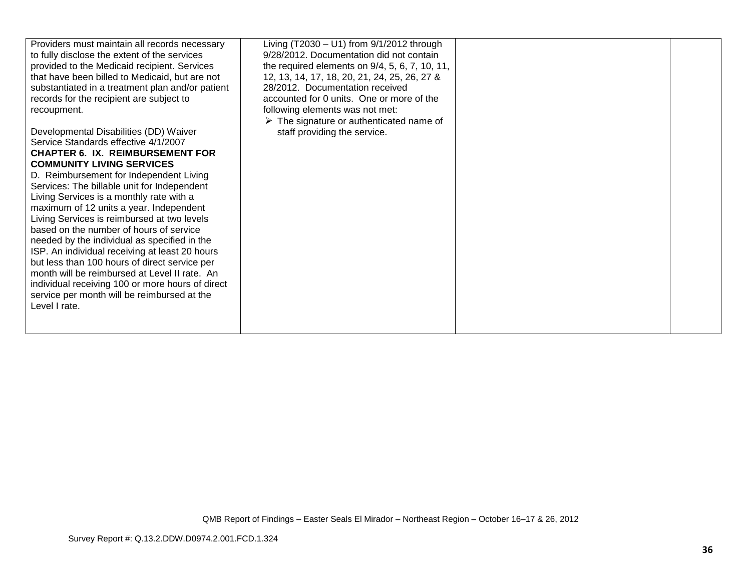| Providers must maintain all records necessary    | Living (T2030 - U1) from 9/1/2012 through               |  |
|--------------------------------------------------|---------------------------------------------------------|--|
| to fully disclose the extent of the services     | 9/28/2012. Documentation did not contain                |  |
| provided to the Medicaid recipient. Services     | the required elements on $9/4$ , 5, 6, 7, 10, 11,       |  |
| that have been billed to Medicaid, but are not   | 12, 13, 14, 17, 18, 20, 21, 24, 25, 26, 27 &            |  |
| substantiated in a treatment plan and/or patient | 28/2012. Documentation received                         |  |
| records for the recipient are subject to         | accounted for 0 units. One or more of the               |  |
| recoupment.                                      | following elements was not met:                         |  |
|                                                  | $\triangleright$ The signature or authenticated name of |  |
| Developmental Disabilities (DD) Waiver           | staff providing the service.                            |  |
| Service Standards effective 4/1/2007             |                                                         |  |
| <b>CHAPTER 6. IX. REIMBURSEMENT FOR</b>          |                                                         |  |
| <b>COMMUNITY LIVING SERVICES</b>                 |                                                         |  |
| D. Reimbursement for Independent Living          |                                                         |  |
|                                                  |                                                         |  |
| Services: The billable unit for Independent      |                                                         |  |
| Living Services is a monthly rate with a         |                                                         |  |
| maximum of 12 units a year. Independent          |                                                         |  |
| Living Services is reimbursed at two levels      |                                                         |  |
| based on the number of hours of service          |                                                         |  |
| needed by the individual as specified in the     |                                                         |  |
| ISP. An individual receiving at least 20 hours   |                                                         |  |
| but less than 100 hours of direct service per    |                                                         |  |
| month will be reimbursed at Level II rate. An    |                                                         |  |
| individual receiving 100 or more hours of direct |                                                         |  |
| service per month will be reimbursed at the      |                                                         |  |
| Level I rate.                                    |                                                         |  |
|                                                  |                                                         |  |
|                                                  |                                                         |  |
|                                                  |                                                         |  |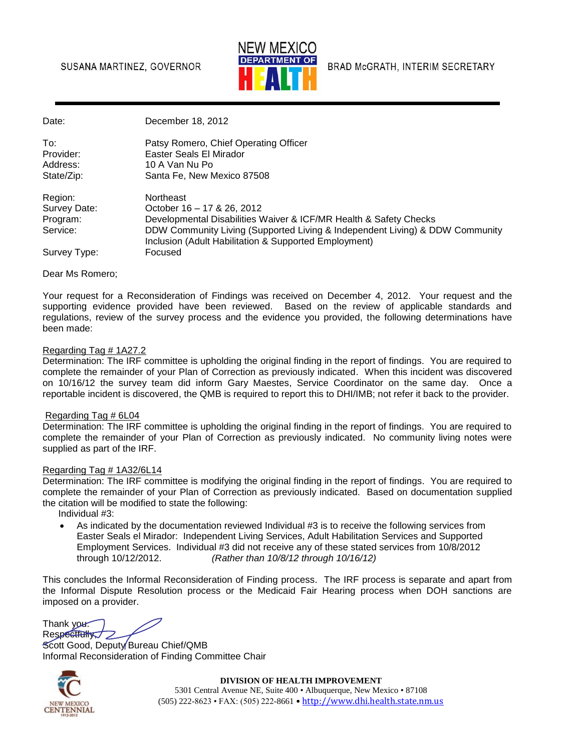### SUSANA MARTINEZ, GOVERNOR



BRAD McGRATH, INTERIM SECRETARY

Date: December 18, 2012

| To∶<br>Provider: | Patsy Romero, Chief Operating Officer<br>Easter Seals El Mirador |
|------------------|------------------------------------------------------------------|
| Address:         | 10 A Van Nu Po                                                   |
| State/Zip:       | Santa Fe, New Mexico 87508                                       |
| Daalami          | المممطان مالسما                                                  |

| Region:      | Northeast                                                                                                                             |
|--------------|---------------------------------------------------------------------------------------------------------------------------------------|
| Survey Date: | October 16 - 17 & 26, 2012                                                                                                            |
| Program:     | Developmental Disabilities Waiver & ICF/MR Health & Safety Checks                                                                     |
| Service:     | DDW Community Living (Supported Living & Independent Living) & DDW Community<br>Inclusion (Adult Habilitation & Supported Employment) |
| Survey Type: | Focused                                                                                                                               |

Dear Ms Romero;

Your request for a Reconsideration of Findings was received on December 4, 2012. Your request and the supporting evidence provided have been reviewed. Based on the review of applicable standards and regulations, review of the survey process and the evidence you provided, the following determinations have been made:

#### Regarding Tag # 1A27.2

Determination: The IRF committee is upholding the original finding in the report of findings. You are required to complete the remainder of your Plan of Correction as previously indicated. When this incident was discovered on 10/16/12 the survey team did inform Gary Maestes, Service Coordinator on the same day. Once a reportable incident is discovered, the QMB is required to report this to DHI/IMB; not refer it back to the provider.

#### Regarding Tag # 6L04

Determination: The IRF committee is upholding the original finding in the report of findings. You are required to complete the remainder of your Plan of Correction as previously indicated. No community living notes were supplied as part of the IRF.

#### Regarding Tag # 1A32/6L14

Determination: The IRF committee is modifying the original finding in the report of findings. You are required to complete the remainder of your Plan of Correction as previously indicated. Based on documentation supplied the citation will be modified to state the following:

Individual #3:

 As indicated by the documentation reviewed Individual #3 is to receive the following services from Easter Seals el Mirador: Independent Living Services, Adult Habilitation Services and Supported Employment Services. Individual #3 did not receive any of these stated services from 10/8/2012 through 10/12/2012. *(Rather than 10/8/12 through 10/16/12)*

This concludes the Informal Reconsideration of Finding process. The IRF process is separate and apart from the Informal Dispute Resolution process or the Medicaid Fair Hearing process when DOH sanctions are imposed on a provider.

Thank you. Respectfully

Scott Good, Deputy Bureau Chief/QMB Informal Reconsideration of Finding Committee Chair